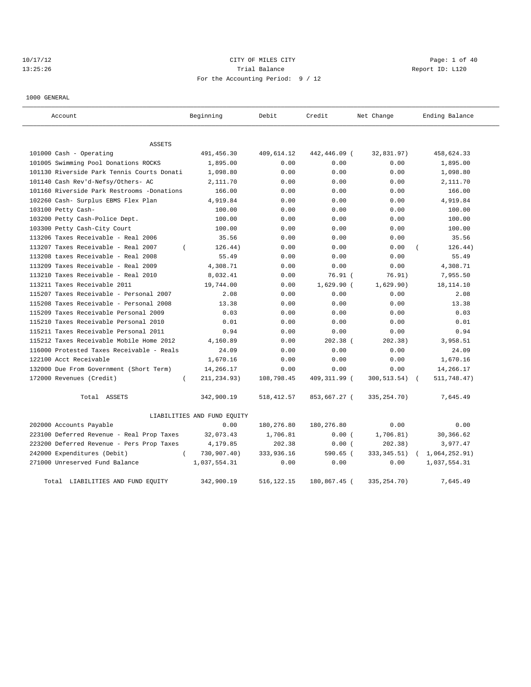# 10/17/12 Page: 1 of 40 13:25:26 Channel Report ID: L120 For the Accounting Period: 9 / 12

1000 GENERAL

| Account                                    | Beginning                   | Debit        | Credit       | Net Change    | Ending Balance |
|--------------------------------------------|-----------------------------|--------------|--------------|---------------|----------------|
| ASSETS                                     |                             |              |              |               |                |
| 101000 Cash - Operating                    | 491,456.30                  | 409,614.12   | 442,446.09 ( | 32,831.97)    | 458,624.33     |
| 101005 Swimming Pool Donations ROCKS       | 1,895.00                    | 0.00         | 0.00         | 0.00          | 1,895.00       |
| 101130 Riverside Park Tennis Courts Donati | 1,098.80                    | 0.00         | 0.00         | 0.00          | 1,098.80       |
| 101140 Cash Rev'd-Nefsv/Others- AC         | 2,111.70                    | 0.00         | 0.00         | 0.00          | 2,111.70       |
| 101160 Riverside Park Restrooms -Donations | 166.00                      | 0.00         | 0.00         | 0.00          | 166.00         |
| 102260 Cash- Surplus EBMS Flex Plan        | 4,919.84                    | 0.00         | 0.00         | 0.00          | 4,919.84       |
| 103100 Petty Cash-                         | 100.00                      | 0.00         | 0.00         | 0.00          | 100.00         |
| 103200 Petty Cash-Police Dept.             | 100.00                      | 0.00         | 0.00         | 0.00          | 100.00         |
| 103300 Petty Cash-City Court               | 100.00                      | 0.00         | 0.00         | 0.00          | 100.00         |
| 113206 Taxes Receivable - Real 2006        | 35.56                       | 0.00         | 0.00         | 0.00          | 35.56          |
| 113207 Taxes Receivable - Real 2007        | $\left($<br>126.44)         | 0.00         | 0.00         | 0.00          | 126.44)        |
| 113208 taxes Receivable - Real 2008        | 55.49                       | 0.00         | 0.00         | 0.00          | 55.49          |
| 113209 Taxes Receivable - Real 2009        | 4,308.71                    | 0.00         | 0.00         | 0.00          | 4,308.71       |
| $113210$ Taxes Receivable - Real $2010$    | 8,032.41                    | 0.00         | $76.91$ $($  | 76.91)        | 7,955.50       |
| 113211 Taxes Receivable 2011               | 19,744.00                   | 0.00         | $1,629.90$ ( | 1,629.90)     | 18, 114. 10    |
| 115207 Taxes Receivable - Personal 2007    | 2.08                        | 0.00         | 0.00         | 0.00          | 2.08           |
| 115208 Taxes Receivable - Personal 2008    | 13.38                       | 0.00         | 0.00         | 0.00          | 13.38          |
| 115209 Taxes Receivable Personal 2009      | 0.03                        | 0.00         | 0.00         | 0.00          | 0.03           |
| 115210 Taxes Receivable Personal 2010      | 0.01                        | 0.00         | 0.00         | 0.00          | 0.01           |
| 115211 Taxes Receivable Personal 2011      | 0.94                        | 0.00         | 0.00         | 0.00          | 0.94           |
| 115212 Taxes Receivable Mobile Home 2012   | 4,160.89                    | 0.00         | $202.38$ (   | 202.38)       | 3,958.51       |
| 116000 Protested Taxes Receivable - Reals  | 24.09                       | 0.00         | 0.00         | 0.00          | 24.09          |
| 122100 Acct Receivable                     | 1,670.16                    | 0.00         | 0.00         | 0.00          | 1,670.16       |
| 132000 Due From Government (Short Term)    | 14,266.17                   | 0.00         | 0.00         | 0.00          | 14,266.17      |
| 172000 Revenues (Credit)                   | 211,234.93)<br>$\left($     | 108,798.45   | 409,311.99 ( | 300,513.54)   | 511,748.47)    |
| Total ASSETS                               | 342,900.19                  | 518, 412.57  | 853,667.27 ( | 335, 254. 70) | 7,645.49       |
|                                            | LIABILITIES AND FUND EQUITY |              |              |               |                |
| 202000 Accounts Payable                    | 0.00                        | 180,276.80   | 180,276.80   | 0.00          | 0.00           |
| 223100 Deferred Revenue - Real Prop Taxes  | 32,073.43                   | 1,706.81     | 0.00(        | 1,706.81)     | 30,366.62      |
| 223200 Deferred Revenue - Pers Prop Taxes  | 4,179.85                    | 202.38       | 0.00(        | 202.38)       | 3,977.47       |
| 242000 Expenditures (Debit)                | 730,907.40)<br>$\left($     | 333,936.16   | $590.65$ (   | 333, 345.51)  | 1,064,252.91)  |
| 271000 Unreserved Fund Balance             | 1,037,554.31                | 0.00         | 0.00         | 0.00          | 1,037,554.31   |
| Total LIABILITIES AND FUND EQUITY          | 342,900.19                  | 516, 122. 15 | 180,867.45 ( | 335, 254. 70) | 7,645.49       |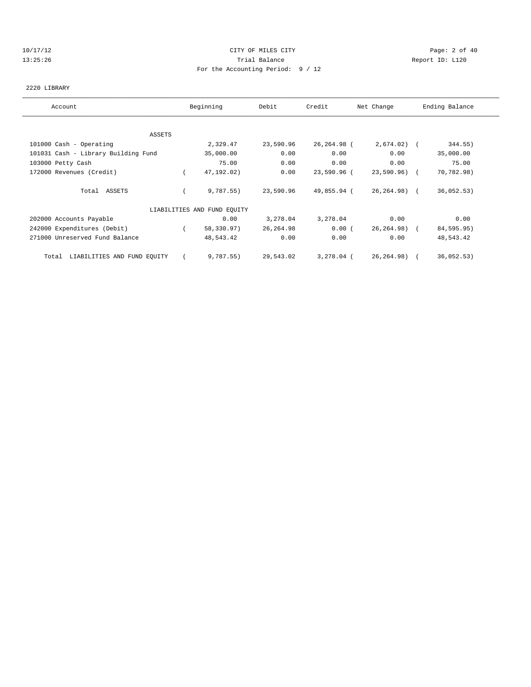#### 10/17/12 CITY OF MILES CITY Page: 2 of 40 13:25:26 Trial Balance Report ID: L120 For the Accounting Period: 9 / 12

#### 2220 LIBRARY

| Account                              | Beginning                   | Debit      | Credit      | Net Change   | Ending Balance |
|--------------------------------------|-----------------------------|------------|-------------|--------------|----------------|
|                                      |                             |            |             |              |                |
| ASSETS                               |                             |            |             |              |                |
| 101000 Cash - Operating              | 2,329.47                    | 23,590.96  | 26,264.98 ( | $2,674.02$ ( | 344.55)        |
| 101031 Cash - Library Building Fund  | 35,000.00                   | 0.00       | 0.00        | 0.00         | 35,000.00      |
| 103000 Petty Cash                    | 75.00                       | 0.00       | 0.00        | 0.00         | 75.00          |
| 172000 Revenues (Credit)             | 47,192.02)                  | 0.00       | 23,590.96 ( | 23,590.96) ( | 70,782.98)     |
| Total ASSETS                         | 9,787.55)                   | 23,590.96  | 49,855.94 ( | 26,264.98) ( | 36,052.53)     |
|                                      | LIABILITIES AND FUND EQUITY |            |             |              |                |
| 202000 Accounts Payable              | 0.00                        | 3,278.04   | 3,278.04    | 0.00         | 0.00           |
| 242000 Expenditures (Debit)          | 58,330.97)                  | 26, 264.98 | 0.00(       | 26,264.98) ( | 84,595.95)     |
| 271000 Unreserved Fund Balance       | 48,543.42                   | 0.00       | 0.00        | 0.00         | 48,543.42      |
| LIABILITIES AND FUND EQUITY<br>Total | 9,787.55)                   | 29,543.02  | 3,278.04 (  | 26,264.98) ( | 36,052.53)     |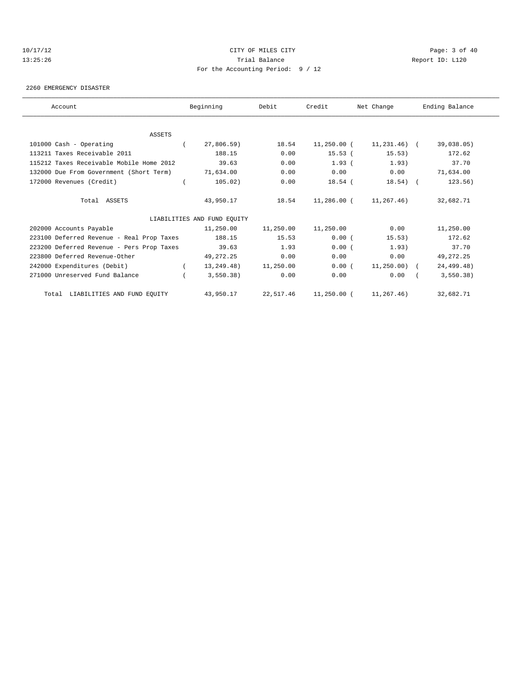# 10/17/12 CITY OF MILES CITY Page: 3 of 40 13:25:26 Trial Balance Report ID: L120 For the Accounting Period: 9 / 12

#### 2260 EMERGENCY DISASTER

| Account                                   | Beginning                   | Debit     | Credit      | Net Change                  | Ending Balance |
|-------------------------------------------|-----------------------------|-----------|-------------|-----------------------------|----------------|
|                                           |                             |           |             |                             |                |
| ASSETS                                    |                             |           |             |                             |                |
| 101000 Cash - Operating                   | 27,806.59)                  | 18.54     | 11,250.00 ( | 11,231.46) (                | 39,038.05)     |
| 113211 Taxes Receivable 2011              | 188.15                      | 0.00      | $15.53$ (   | 15.53)                      | 172.62         |
| 115212 Taxes Receivable Mobile Home 2012  | 39.63                       | 0.00      | $1.93$ (    | 1.93)                       | 37.70          |
| 132000 Due From Government (Short Term)   | 71,634.00                   | 0.00      | 0.00        | 0.00                        | 71,634.00      |
| 172000 Revenues (Credit)                  | 105.02)                     | 0.00      | $18.54$ (   | $18.54)$ (                  | 123.56)        |
| Total ASSETS                              | 43,950.17                   | 18.54     |             | $11,286.00$ ( $11,267.46$ ) | 32,682.71      |
|                                           | LIABILITIES AND FUND EOUITY |           |             |                             |                |
| 202000 Accounts Payable                   | 11,250.00                   | 11,250.00 | 11,250.00   | 0.00                        | 11,250.00      |
| 223100 Deferred Revenue - Real Prop Taxes | 188.15                      | 15.53     | 0.00(       | 15.53)                      | 172.62         |
| 223200 Deferred Revenue - Pers Prop Taxes | 39.63                       | 1.93      | 0.00(       | 1.93)                       | 37.70          |
| 223800 Deferred Revenue-Other             | 49,272.25                   | 0.00      | 0.00        | 0.00                        | 49, 272. 25    |
| 242000 Expenditures (Debit)               | 13,249.48)                  | 11,250.00 | 0.00(       | $11,250.00)$ (              | 24,499.48)     |
| 271000 Unreserved Fund Balance            | 3,550.38)                   | 0.00      | 0.00        | 0.00                        | 3,550.38)      |
| Total LIABILITIES AND FUND EQUITY         | 43,950.17                   | 22,517.46 | 11,250.00 ( | 11,267.46)                  | 32,682.71      |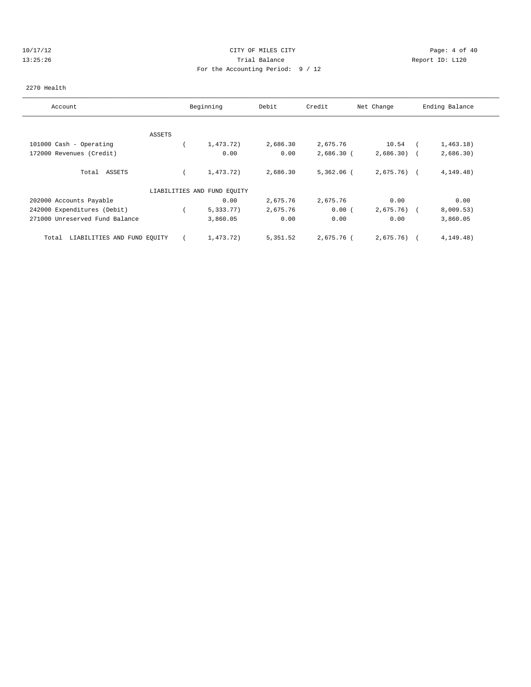# 10/17/12 CITY OF MILES CITY Page: 4 of 40 13:25:26 Trial Balance Report ID: L120 For the Accounting Period: 9 / 12

#### 2270 Health

| Account                              |        | Beginning                   | Debit    | Credit       | Net Change   | Ending Balance |
|--------------------------------------|--------|-----------------------------|----------|--------------|--------------|----------------|
|                                      |        |                             |          |              |              |                |
|                                      | ASSETS |                             |          |              |              |                |
| 101000 Cash - Operating              |        | 1,473.72)                   | 2,686.30 | 2,675.76     | 10.54        | 1,463.18)      |
| 172000 Revenues (Credit)             |        | 0.00                        | 0.00     | $2,686.30$ ( | $2,686.30$ ( | 2,686.30)      |
| Total ASSETS                         |        | 1,473.72)                   | 2,686.30 | $5,362.06$ ( | $2,675.76$ ( | 4, 149.48)     |
|                                      |        | LIABILITIES AND FUND EQUITY |          |              |              |                |
| 202000 Accounts Payable              |        | 0.00                        | 2,675.76 | 2,675.76     | 0.00         | 0.00           |
| 242000 Expenditures (Debit)          |        | 5,333.77)                   | 2,675.76 | 0.00(        | 2,675.76)    | 8,009.53)      |
| 271000 Unreserved Fund Balance       |        | 3,860.05                    | 0.00     | 0.00         | 0.00         | 3,860.05       |
| LIABILITIES AND FUND EQUITY<br>Total |        | 1,473.72)                   | 5,351.52 | 2,675.76 (   | 2,675.76)    | 4, 149. 48)    |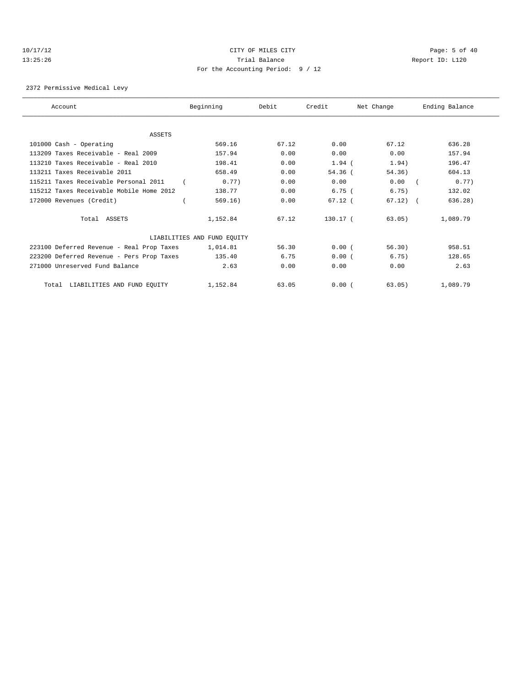# 10/17/12 CITY OF MILES CITY Page: 5 of 40 13:25:26 Trial Balance Report ID: L120 For the Accounting Period: 9 / 12

2372 Permissive Medical Levy

| Account                                   | Beginning                   | Debit | Credit    | Net Change    | Ending Balance |
|-------------------------------------------|-----------------------------|-------|-----------|---------------|----------------|
|                                           |                             |       |           |               |                |
| ASSETS                                    |                             |       |           |               |                |
| 101000 Cash - Operating                   | 569.16                      | 67.12 | 0.00      | 67.12         | 636.28         |
| 113209 Taxes Receivable - Real 2009       | 157.94                      | 0.00  | 0.00      | 0.00          | 157.94         |
| 113210 Taxes Receivable - Real 2010       | 198.41                      | 0.00  | $1.94$ (  | 1.94)         | 196.47         |
| 113211 Taxes Receivable 2011              | 658.49                      | 0.00  | $54.36$ ( | 54.36)        | 604.13         |
| 115211 Taxes Receivable Personal 2011     | 0.77)                       | 0.00  | 0.00      | 0.00          | 0.77)          |
| 115212 Taxes Receivable Mobile Home 2012  | 138.77                      | 0.00  | 6.75(     | 6.75)         | 132.02         |
| 172000 Revenues (Credit)                  | 569.16)                     | 0.00  | $67.12$ ( | $67.12$ ) $($ | 636.28)        |
| Total ASSETS                              | 1,152.84                    | 67.12 | 130.17 (  | 63.05)        | 1,089.79       |
|                                           | LIABILITIES AND FUND EQUITY |       |           |               |                |
| 223100 Deferred Revenue - Real Prop Taxes | 1,014.81                    | 56.30 | 0.00(     | 56.30)        | 958.51         |
| 223200 Deferred Revenue - Pers Prop Taxes | 135.40                      | 6.75  | 0.00(     | 6.75)         | 128.65         |
| 271000 Unreserved Fund Balance            | 2.63                        | 0.00  | 0.00      | 0.00          | 2.63           |
| Total LIABILITIES AND FUND EQUITY         | 1,152.84                    | 63.05 | 0.00(     | 63.05)        | 1,089.79       |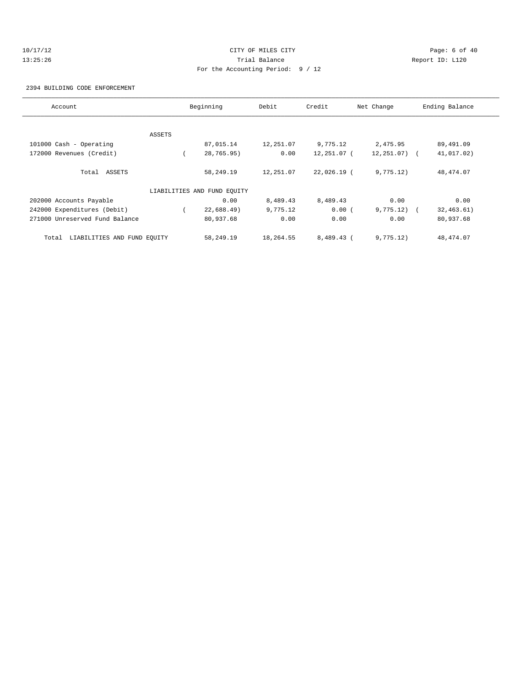# 10/17/12 CITY OF MILES CITY Page: 6 of 40 13:25:26 Trial Balance Report ID: L120 For the Accounting Period: 9 / 12

2394 BUILDING CODE ENFORCEMENT

| Account                              |        | Beginning                   | Debit     | Credit      | Net Change   | Ending Balance            |
|--------------------------------------|--------|-----------------------------|-----------|-------------|--------------|---------------------------|
|                                      |        |                             |           |             |              |                           |
|                                      | ASSETS |                             |           |             |              |                           |
| 101000 Cash - Operating              |        | 87,015.14                   | 12,251.07 | 9,775.12    | 2,475.95     | 89,491.09                 |
| 172000 Revenues (Credit)             |        | 28,765.95)                  | 0.00      | 12,251.07 ( | 12,251.07) ( | 41,017.02)                |
| Total ASSETS                         |        | 58,249.19                   | 12,251.07 | 22,026.19 ( | 9,775.12)    | 48, 474.07                |
|                                      |        | LIABILITIES AND FUND EQUITY |           |             |              |                           |
| 202000 Accounts Payable              |        | 0.00                        | 8,489.43  | 8,489.43    | 0.00         | 0.00                      |
| 242000 Expenditures (Debit)          |        | 22,688.49                   | 9,775.12  | 0.00(       | 9,775.12)    | 32, 463.61)<br>$\sqrt{1}$ |
| 271000 Unreserved Fund Balance       |        | 80,937.68                   | 0.00      | 0.00        | 0.00         | 80,937.68                 |
| LIABILITIES AND FUND EQUITY<br>Total |        | 58,249.19                   | 18,264.55 | 8,489.43 (  | 9,775.12)    | 48, 474.07                |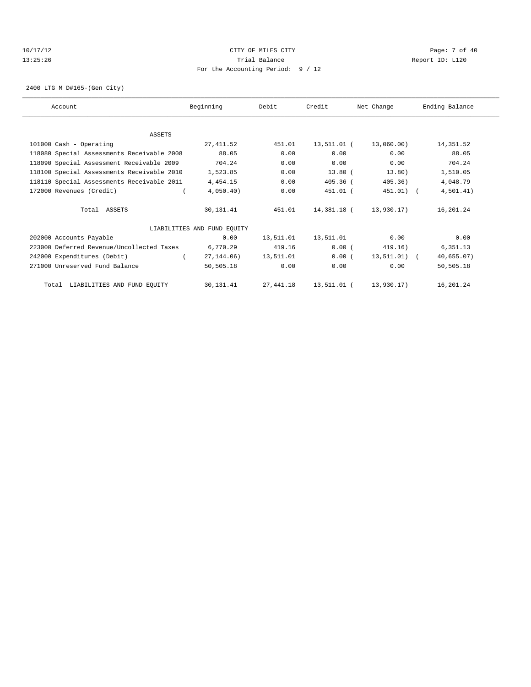# 10/17/12 CITY OF MILES CITY Page: 7 of 40 13:25:26 Trial Balance Report ID: L120 For the Accounting Period: 9 / 12

2400 LTG M D#165-(Gen City)

| Account                                    | Beginning                   | Debit     | Credit      | Net Change   | Ending Balance |
|--------------------------------------------|-----------------------------|-----------|-------------|--------------|----------------|
|                                            |                             |           |             |              |                |
| ASSETS                                     |                             |           |             |              |                |
| 101000 Cash - Operating                    | 27, 411.52                  | 451.01    | 13,511.01 ( | 13,060.00)   | 14,351.52      |
| 118080 Special Assessments Receivable 2008 | 88.05                       | 0.00      | 0.00        | 0.00         | 88.05          |
| 118090 Special Assessment Receivable 2009  | 704.24                      | 0.00      | 0.00        | 0.00         | 704.24         |
| 118100 Special Assessments Receivable 2010 | 1,523.85                    | 0.00      | $13.80$ (   | 13.80)       | 1,510.05       |
| 118110 Special Assessments Receivable 2011 | 4,454.15                    | 0.00      | $405.36$ (  | 405.36)      | 4,048.79       |
| 172000 Revenues (Credit)                   | 4,050.40)                   | 0.00      | 451.01 (    | 451.01) (    | 4,501.41)      |
| Total ASSETS                               | 30,131.41                   | 451.01    | 14,381.18 ( | 13,930.17)   | 16,201.24      |
|                                            | LIABILITIES AND FUND EQUITY |           |             |              |                |
| 202000 Accounts Payable                    | 0.00                        | 13,511.01 | 13,511.01   | 0.00         | 0.00           |
| 223000 Deferred Revenue/Uncollected Taxes  | 6,770.29                    | 419.16    | 0.00(       | 419.16)      | 6,351.13       |
| 242000 Expenditures (Debit)                | 27, 144, 06)                | 13,511.01 | 0.00(       | 13,511.01) ( | 40,655.07)     |
| 271000 Unreserved Fund Balance             | 50,505.18                   | 0.00      | 0.00        | 0.00         | 50,505.18      |
| Total LIABILITIES AND FUND EQUITY          | 30,131.41                   | 27,441.18 | 13,511.01 ( | 13,930.17)   | 16,201.24      |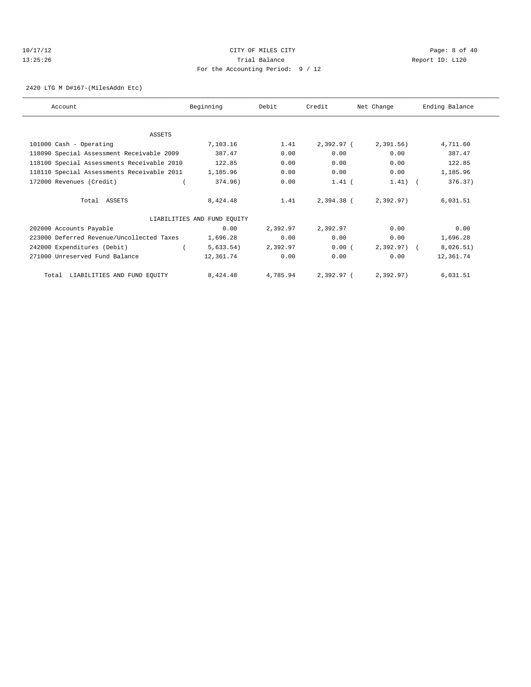#### 10/17/12 CITY OF MILES CITY Page: 8 of 40 13:25:26 Trial Balance Report ID: L120 For the Accounting Period: 9 / 12

2420 LTG M D#167-(MilesAddn Etc)

| Account                                    | Beginning                   | Debit    | Credit     | Net Change   | Ending Balance |
|--------------------------------------------|-----------------------------|----------|------------|--------------|----------------|
|                                            |                             |          |            |              |                |
| <b>ASSETS</b>                              |                             |          |            |              |                |
| 101000 Cash - Operating                    | 7,103.16                    | 1.41     | 2,392.97 ( | 2,391.56)    | 4,711.60       |
| 118090 Special Assessment Receivable 2009  | 387.47                      | 0.00     | 0.00       | 0.00         | 387.47         |
| 118100 Special Assessments Receivable 2010 | 122.85                      | 0.00     | 0.00       | 0.00         | 122.85         |
| 118110 Special Assessments Receivable 2011 | 1,185.96                    | 0.00     | 0.00       | 0.00         | 1,185.96       |
| 172000 Revenues (Credit)                   | 374.96)                     | 0.00     | $1.41$ (   | $1.41)$ (    | 376.37)        |
| Total ASSETS                               | 8,424.48                    | 1.41     | 2,394.38 ( | 2,392.97)    | 6,031.51       |
|                                            | LIABILITIES AND FUND EQUITY |          |            |              |                |
| 202000 Accounts Payable                    | 0.00                        | 2,392.97 | 2,392.97   | 0.00         | 0.00           |
| 223000 Deferred Revenue/Uncollected Taxes  | 1,696.28                    | 0.00     | 0.00       | 0.00         | 1,696.28       |
| 242000 Expenditures (Debit)                | 5,633.54)                   | 2,392.97 | 0.00(      | $2,392.97$ ( | 8,026.51)      |
| 271000 Unreserved Fund Balance             | 12,361.74                   | 0.00     | 0.00       | 0.00         | 12,361.74      |
| LIABILITIES AND FUND EQUITY<br>Total       | 8,424.48                    | 4,785.94 | 2,392.97 ( | 2,392.97)    | 6,031.51       |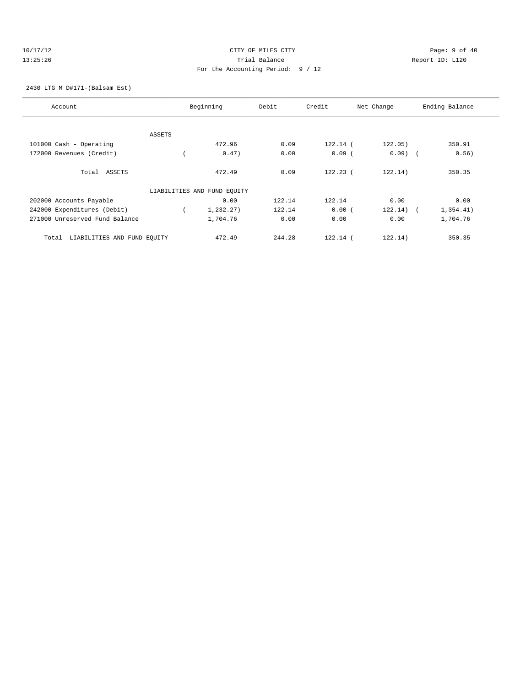#### 10/17/12 CITY OF MILES CITY Page: 9 of 40 13:25:26 Trial Balance Report ID: L120 For the Accounting Period: 9 / 12

2430 LTG M D#171-(Balsam Est)

| Account                              |               | Beginning                   | Debit  | Credit     | Net Change | Ending Balance |
|--------------------------------------|---------------|-----------------------------|--------|------------|------------|----------------|
|                                      |               |                             |        |            |            |                |
|                                      | <b>ASSETS</b> |                             |        |            |            |                |
| 101000 Cash - Operating              |               | 472.96                      | 0.09   | $122.14$ ( | 122.05)    | 350.91         |
| 172000 Revenues (Credit)             |               | 0.47)                       | 0.00   | $0.09$ (   | $0.09$ (   | 0.56)          |
| Total ASSETS                         |               | 472.49                      | 0.09   | $122.23$ ( | 122.14)    | 350.35         |
|                                      |               | LIABILITIES AND FUND EQUITY |        |            |            |                |
| 202000 Accounts Payable              |               | 0.00                        | 122.14 | 122.14     | 0.00       | 0.00           |
| 242000 Expenditures (Debit)          |               | 1,232.27)                   | 122.14 | 0.00(      | 122.14)    | 1,354.41)      |
| 271000 Unreserved Fund Balance       |               | 1,704.76                    | 0.00   | 0.00       | 0.00       | 1,704.76       |
| LIABILITIES AND FUND EQUITY<br>Total |               | 472.49                      | 244.28 | $122.14$ ( | 122.14)    | 350.35         |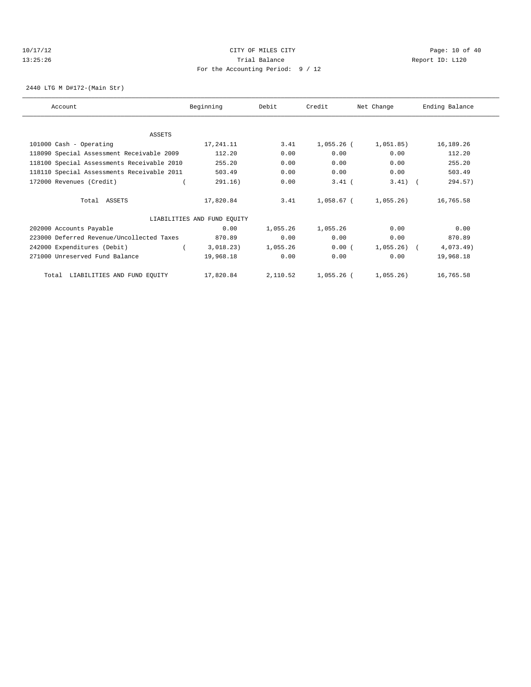# 10/17/12 Page: 10 of 40 13:25:26 Trial Balance Report ID: L120 For the Accounting Period: 9 / 12

2440 LTG M D#172-(Main Str)

| Account                                    | Beginning                   | Debit    | Credit     | Net Change   | Ending Balance |
|--------------------------------------------|-----------------------------|----------|------------|--------------|----------------|
|                                            |                             |          |            |              |                |
| ASSETS<br>101000 Cash - Operating          | 17,241.11                   | 3.41     | 1,055.26 ( | 1,051.85)    | 16,189.26      |
| 118090 Special Assessment Receivable 2009  | 112.20                      | 0.00     | 0.00       | 0.00         | 112.20         |
| 118100 Special Assessments Receivable 2010 | 255.20                      | 0.00     | 0.00       | 0.00         | 255.20         |
| 118110 Special Assessments Receivable 2011 | 503.49                      | 0.00     | 0.00       | 0.00         | 503.49         |
| 172000 Revenues (Credit)                   | 291.16)                     | 0.00     | $3.41$ (   | $3.41)$ (    | 294.57)        |
| Total ASSETS                               | 17,820.84                   | 3.41     | 1,058.67 ( | $1,055.26$ ) | 16,765.58      |
|                                            | LIABILITIES AND FUND EQUITY |          |            |              |                |
| 202000 Accounts Payable                    | 0.00                        | 1,055.26 | 1,055.26   | 0.00         | 0.00           |
| 223000 Deferred Revenue/Uncollected Taxes  | 870.89                      | 0.00     | 0.00       | 0.00         | 870.89         |
| 242000 Expenditures (Debit)                | 3,018.23)                   | 1,055.26 | 0.00(      | $1,055.26$ ( | $4,073.49$ )   |
| 271000 Unreserved Fund Balance             | 19,968.18                   | 0.00     | 0.00       | 0.00         | 19,968.18      |
| Total LIABILITIES AND FUND EQUITY          | 17,820.84                   | 2,110.52 | 1,055.26 ( | 1,055.26)    | 16,765.58      |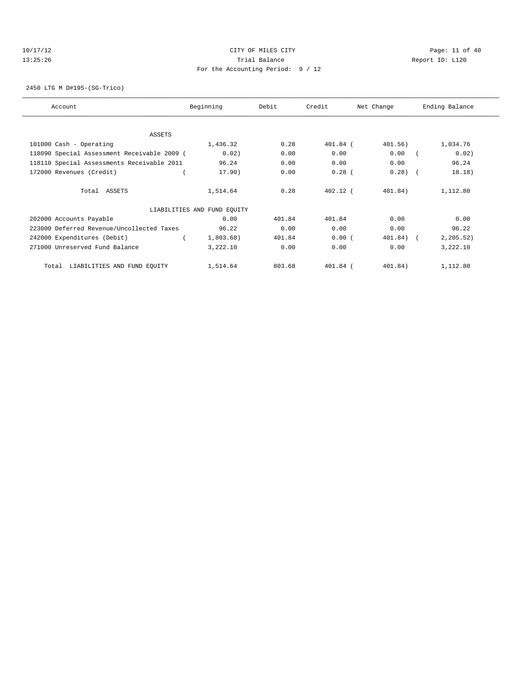#### 10/17/12 Page: 11 of 40 13:25:26 Trial Balance Report ID: L120 For the Accounting Period: 9 / 12

2450 LTG M D#195-(SG-Trico)

| Account                                     | Beginning                   | Debit  | Credit     | Net Change | Ending Balance |
|---------------------------------------------|-----------------------------|--------|------------|------------|----------------|
|                                             |                             |        |            |            |                |
| <b>ASSETS</b>                               |                             |        |            |            |                |
| 101000 Cash - Operating                     | 1,436.32                    | 0.28   | 401.84 (   | 401.56)    | 1,034.76       |
| 118090 Special Assessment Receivable 2009 ( | 0.02)                       | 0.00   | 0.00       | 0.00       | 0.02)          |
| 118110 Special Assessments Receivable 2011  | 96.24                       | 0.00   | 0.00       | 0.00       | 96.24          |
| 172000 Revenues (Credit)                    | 17.90)                      | 0.00   | $0.28$ (   | 0.28)      | 18.18)         |
| Total ASSETS                                | 1,514.64                    | 0.28   | $402.12$ ( | 401.84)    | 1,112.80       |
|                                             | LIABILITIES AND FUND EQUITY |        |            |            |                |
| 202000 Accounts Payable                     | 0.00                        | 401.84 | 401.84     | 0.00       | 0.00           |
| 223000 Deferred Revenue/Uncollected Taxes   | 96.22                       | 0.00   | 0.00       | 0.00       | 96.22          |
| 242000 Expenditures (Debit)                 | 1,803.68)                   | 401.84 | 0.00(      | 401.84)    | 2, 205.52)     |
| 271000 Unreserved Fund Balance              | 3,222.10                    | 0.00   | 0.00       | 0.00       | 3,222.10       |
| LIABILITIES AND FUND EQUITY<br>Total        | 1,514.64                    | 803.68 | $401.84$ ( | 401.84)    | 1,112.80       |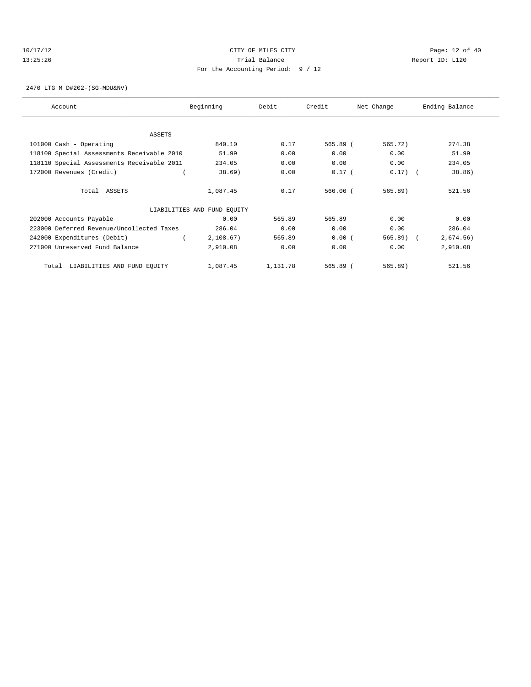#### 10/17/12 Page: 12 of 40 13:25:26 Trial Balance Report ID: L120 For the Accounting Period: 9 / 12

2470 LTG M D#202-(SG-MDU&NV)

| Account                                    | Beginning                   | Debit    | Credit       | Net Change | Ending Balance |
|--------------------------------------------|-----------------------------|----------|--------------|------------|----------------|
|                                            |                             |          |              |            |                |
| <b>ASSETS</b>                              |                             |          |              |            |                |
| 101000 Cash - Operating                    | 840.10                      | 0.17     | 565.89 (     | 565.72)    | 274.38         |
| 118100 Special Assessments Receivable 2010 | 51.99                       | 0.00     | 0.00         | 0.00       | 51.99          |
| 118110 Special Assessments Receivable 2011 | 234.05                      | 0.00     | 0.00         | 0.00       | 234.05         |
| 172000 Revenues (Credit)                   | 38.69)                      | 0.00     | $0.17$ (     | $0.17)$ (  | 38.86)         |
| Total ASSETS                               | 1,087.45                    | 0.17     | $566.06$ $($ | 565.89)    | 521.56         |
|                                            | LIABILITIES AND FUND EQUITY |          |              |            |                |
| 202000 Accounts Payable                    | 0.00                        | 565.89   | 565.89       | 0.00       | 0.00           |
| 223000 Deferred Revenue/Uncollected Taxes  | 286.04                      | 0.00     | 0.00         | 0.00       | 286.04         |
| 242000 Expenditures (Debit)                | 2,108.67)                   | 565.89   | 0.00(        | $565.89$ ( | 2,674.56)      |
| 271000 Unreserved Fund Balance             | 2,910.08                    | 0.00     | 0.00         | 0.00       | 2,910.08       |
| LIABILITIES AND FUND EQUITY<br>Total       | 1,087.45                    | 1,131.78 | 565.89 (     | 565.89)    | 521.56         |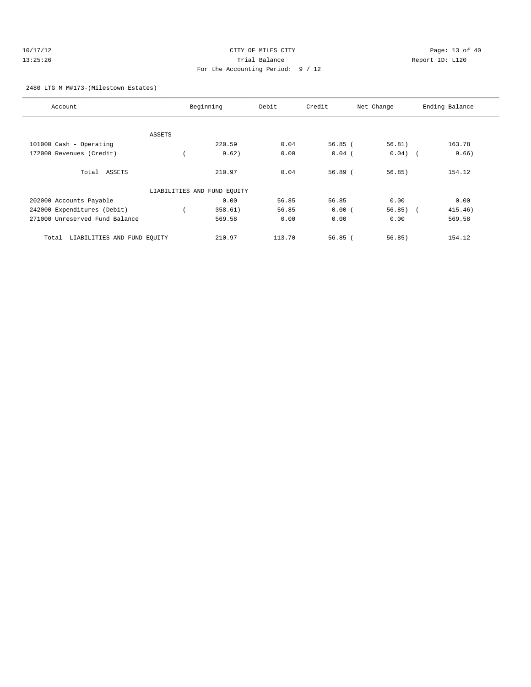| 10/17/12 | CITY OF MILES CITY                | Page: $13o$     |
|----------|-----------------------------------|-----------------|
| 13:25:26 | Trial Balance                     | Report ID: L120 |
|          | For the Accounting Period: 9 / 12 |                 |

 $Page: 13 of 40$ 

#### 2480 LTG M M#173-(Milestown Estates)

| Account                              |        | Beginning                   | Debit  | Credit    | Net Change | Ending Balance |
|--------------------------------------|--------|-----------------------------|--------|-----------|------------|----------------|
|                                      |        |                             |        |           |            |                |
|                                      | ASSETS |                             |        |           |            |                |
| 101000 Cash - Operating              |        | 220.59                      | 0.04   | 56.85(    | 56.81)     | 163.78         |
| 172000 Revenues (Credit)             |        | 9.62)                       | 0.00   | $0.04$ (  | $0.04)$ (  | 9.66)          |
| Total ASSETS                         |        | 210.97                      | 0.04   | $56.89$ ( | 56.85)     | 154.12         |
|                                      |        | LIABILITIES AND FUND EQUITY |        |           |            |                |
| 202000 Accounts Payable              |        | 0.00                        | 56.85  | 56.85     | 0.00       | 0.00           |
| 242000 Expenditures (Debit)          |        | 358.61)                     | 56.85  | 0.00(     | $56.85$ (  | 415.46)        |
| 271000 Unreserved Fund Balance       |        | 569.58                      | 0.00   | 0.00      | 0.00       | 569.58         |
| LIABILITIES AND FUND EQUITY<br>Total |        | 210.97                      | 113.70 | 56.85(    | 56.85)     | 154.12         |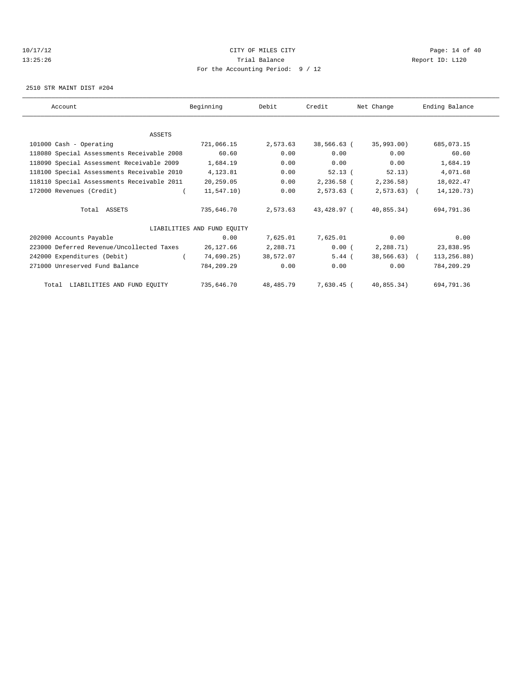#### 10/17/12 Page: 14 of 40 13:25:26 Trial Balance Report ID: L120 For the Accounting Period: 9 / 12

2510 STR MAINT DIST #204

| Account                                    | Beginning                   | Debit     | Credit      | Net Change    | Ending Balance |
|--------------------------------------------|-----------------------------|-----------|-------------|---------------|----------------|
|                                            |                             |           |             |               |                |
| <b>ASSETS</b>                              |                             |           |             |               |                |
| 101000 Cash - Operating                    | 721,066.15                  | 2,573.63  | 38,566.63 ( | 35,993.00)    | 685,073.15     |
| 118080 Special Assessments Receivable 2008 | 60.60                       | 0.00      | 0.00        | 0.00          | 60.60          |
| 118090 Special Assessment Receivable 2009  | 1,684.19                    | 0.00      | 0.00        | 0.00          | 1,684.19       |
| 118100 Special Assessments Receivable 2010 | 4,123.81                    | 0.00      | $52.13$ (   | 52.13)        | 4,071.68       |
| 118110 Special Assessments Receivable 2011 | 20,259.05                   | 0.00      | 2,236.58 (  | 2, 236.58)    | 18,022.47      |
| 172000 Revenues (Credit)                   | 11,547.10)                  | 0.00      | 2,573.63 (  | $2,573.63$ (  | 14, 120. 73)   |
| Total ASSETS                               | 735,646.70                  | 2,573.63  | 43,428.97 ( | $40.855.34$ ) | 694,791.36     |
|                                            | LIABILITIES AND FUND EQUITY |           |             |               |                |
| 202000 Accounts Payable                    | 0.00                        | 7,625.01  | 7,625.01    | 0.00          | 0.00           |
| 223000 Deferred Revenue/Uncollected Taxes  | 26,127.66                   | 2,288.71  | 0.00(       | 2,288.71)     | 23,838.95      |
| 242000 Expenditures (Debit)                | 74,690.25)                  | 38,572.07 | $5.44$ (    | $38,566.63$ ( | 113,256.88)    |
| 271000 Unreserved Fund Balance             | 784,209.29                  | 0.00      | 0.00        | 0.00          | 784,209.29     |
| Total LIABILITIES AND FUND EQUITY          | 735,646.70                  | 48,485.79 | 7,630.45 (  | 40,855.34)    | 694,791.36     |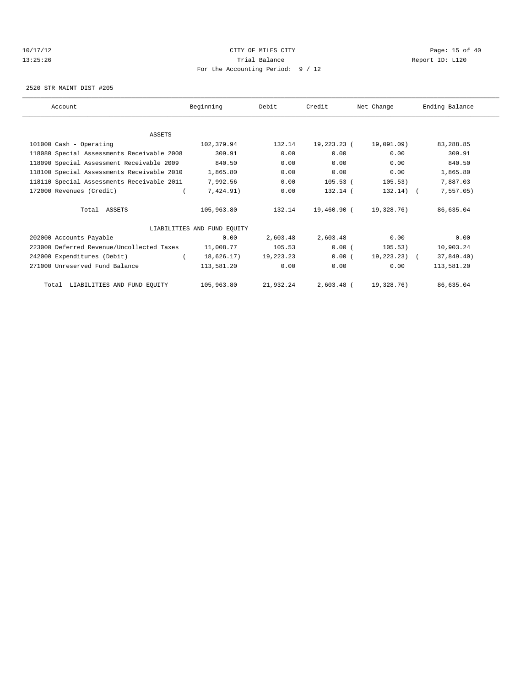#### 10/17/12 Page: 15 of 40 13:25:26 Trial Balance Report ID: L120 For the Accounting Period: 9 / 12

2520 STR MAINT DIST #205

| Account                                    | Beginning                   | Debit     | Credit      | Net Change     | Ending Balance |
|--------------------------------------------|-----------------------------|-----------|-------------|----------------|----------------|
|                                            |                             |           |             |                |                |
| ASSETS                                     |                             |           |             |                |                |
| 101000 Cash - Operating                    | 102,379.94                  | 132.14    | 19,223.23 ( | 19,091.09)     | 83,288.85      |
| 118080 Special Assessments Receivable 2008 | 309.91                      | 0.00      | 0.00        | 0.00           | 309.91         |
| 118090 Special Assessment Receivable 2009  | 840.50                      | 0.00      | 0.00        | 0.00           | 840.50         |
| 118100 Special Assessments Receivable 2010 | 1,865.80                    | 0.00      | 0.00        | 0.00           | 1,865.80       |
| 118110 Special Assessments Receivable 2011 | 7,992.56                    | 0.00      | $105.53$ (  | 105.53)        | 7,887.03       |
| 172000 Revenues (Credit)                   | 7,424.91)                   | 0.00      | $132.14$ (  | $132.14$ ) (   | 7,557.05)      |
| Total ASSETS                               | 105,963.80                  | 132.14    | 19,460.90 ( | 19,328.76)     | 86,635.04      |
|                                            | LIABILITIES AND FUND EQUITY |           |             |                |                |
| 202000 Accounts Payable                    | 0.00                        | 2,603.48  | 2,603.48    | 0.00           | 0.00           |
| 223000 Deferred Revenue/Uncollected Taxes  | 11,008.77                   | 105.53    | 0.00(       | 105.53)        | 10,903.24      |
| 242000 Expenditures (Debit)                | 18,626.17)                  | 19,223.23 | 0.00(       | $19.223.23)$ ( | 37,849.40)     |
| 271000 Unreserved Fund Balance             | 113,581.20                  | 0.00      | 0.00        | 0.00           | 113,581.20     |
| Total LIABILITIES AND FUND EQUITY          | 105,963.80                  | 21,932.24 | 2,603.48 (  | 19,328.76)     | 86,635.04      |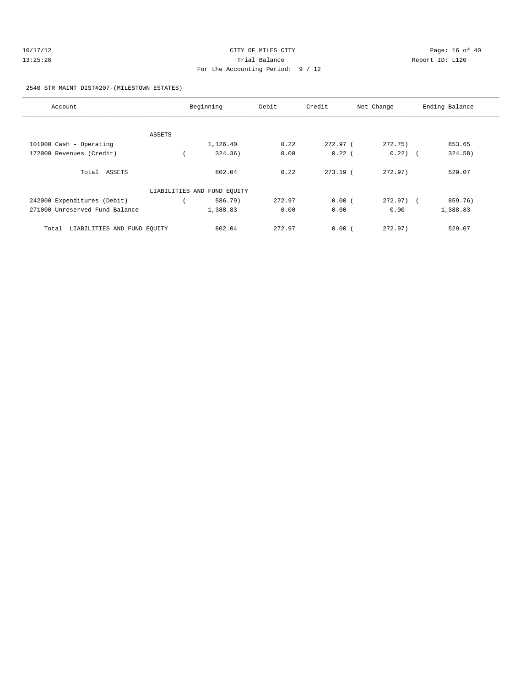| 10/17/12 | CITY OF MILES CITY                | Page: 16 of 40  |
|----------|-----------------------------------|-----------------|
| 13:25:26 | Trial Balance                     | Report ID: L120 |
|          | For the Accounting Period: 9 / 12 |                 |

#### 2540 STR MAINT DIST#207-(MILESTOWN ESTATES)

| Account                              |        | Beginning                   | Debit  | Credit     | Net Change   | Ending Balance |
|--------------------------------------|--------|-----------------------------|--------|------------|--------------|----------------|
|                                      |        |                             |        |            |              |                |
| 101000 Cash - Operating              | ASSETS | 1,126.40                    | 0.22   | 272.97 (   | 272.75)      | 853.65         |
|                                      |        |                             |        |            |              |                |
| 172000 Revenues (Credit)             |        | 324.36)                     | 0.00   | $0.22$ (   | $0.22)$ (    | 324.58)        |
|                                      |        |                             |        |            |              |                |
| Total ASSETS                         |        | 802.04                      | 0.22   | $273.19$ ( | 272.97       | 529.07         |
|                                      |        | LIABILITIES AND FUND EQUITY |        |            |              |                |
| 242000 Expenditures (Debit)          |        | 586.79)                     | 272.97 | 0.00(      | $272.97$ ) ( | 859.76)        |
| 271000 Unreserved Fund Balance       |        | 1,388.83                    | 0.00   | 0.00       | 0.00         | 1,388.83       |
| LIABILITIES AND FUND EQUITY<br>Total |        | 802.04                      | 272.97 | 0.00(      | 272.97)      | 529.07         |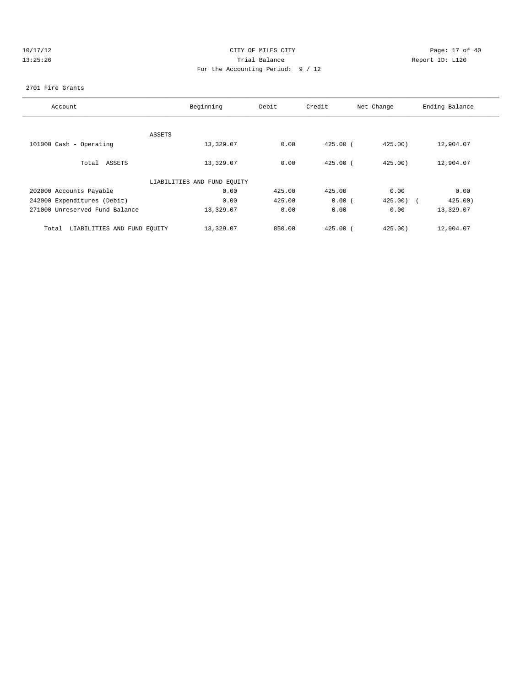| -1 |  |     |  | $\lambda$ |  |
|----|--|-----|--|-----------|--|
|    |  | . . |  | ς         |  |

# CITY OF MILES CITY CONTROL CONTROL CONTROL CITY OF 40 13:25:26 Trial Balance Report ID: L120 For the Accounting Period: 9 / 12

#### 2701 Fire Grants

| Account                              | Beginning                   | Debit  | Credit       | Net Change | Ending Balance |
|--------------------------------------|-----------------------------|--------|--------------|------------|----------------|
|                                      |                             |        |              |            |                |
|                                      | ASSETS                      |        |              |            |                |
| 101000 Cash - Operating              | 13,329.07                   | 0.00   | $425.00$ (   | 425.00)    | 12,904.07      |
|                                      |                             |        |              |            |                |
| Total ASSETS                         | 13,329.07                   | 0.00   | $425.00$ (   | 425.00     | 12,904.07      |
|                                      |                             |        |              |            |                |
|                                      | LIABILITIES AND FUND EQUITY |        |              |            |                |
| 202000 Accounts Payable              | 0.00                        | 425.00 | 425.00       | 0.00       | 0.00           |
| 242000 Expenditures (Debit)          | 0.00                        | 425.00 | 0.00(        | $425.00$ ( | 425.00)        |
| 271000 Unreserved Fund Balance       | 13,329.07                   | 0.00   | 0.00         | 0.00       | 13,329.07      |
|                                      |                             |        |              |            |                |
| LIABILITIES AND FUND EQUITY<br>Total | 13,329.07                   | 850.00 | $425.00$ $($ | 425.00     | 12,904.07      |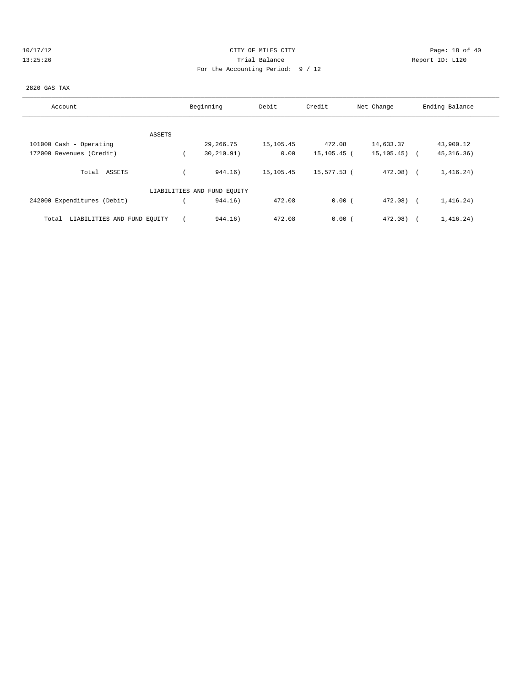| 10. | /   / |    |  | ٠, |  |
|-----|-------|----|--|----|--|
|     |       | г. |  |    |  |

# CITY OF MILES CITY **CITY** Page: 18 of 40 13:25:26 Trial Balance Report ID: L120 For the Accounting Period: 9 / 12

# 2820 GAS TAX

| Account                              |        | Beginning                   | Debit     | Credit      | Net Change       | Ending Balance |
|--------------------------------------|--------|-----------------------------|-----------|-------------|------------------|----------------|
|                                      |        |                             |           |             |                  |                |
|                                      | ASSETS |                             |           |             |                  |                |
| 101000 Cash - Operating              |        | 29, 266. 75                 | 15,105.45 | 472.08      | 14,633.37        | 43,900.12      |
| 172000 Revenues (Credit)             |        | 30, 210.91)                 | 0.00      | 15,105.45 ( | $15, 105, 45)$ ( | 45, 316. 36)   |
| Total ASSETS                         |        | 944.16)                     | 15,105.45 | 15,577.53 ( | 472.08) (        | 1,416.24)      |
|                                      |        | LIABILITIES AND FUND EQUITY |           |             |                  |                |
| 242000 Expenditures (Debit)          |        | 944.16)                     | 472.08    | 0.00(       | $472.08$ (       | 1,416.24)      |
| LIABILITIES AND FUND EQUITY<br>Total |        | 944.16)                     | 472.08    | 0.00(       | 472.08)          | 1,416.24)      |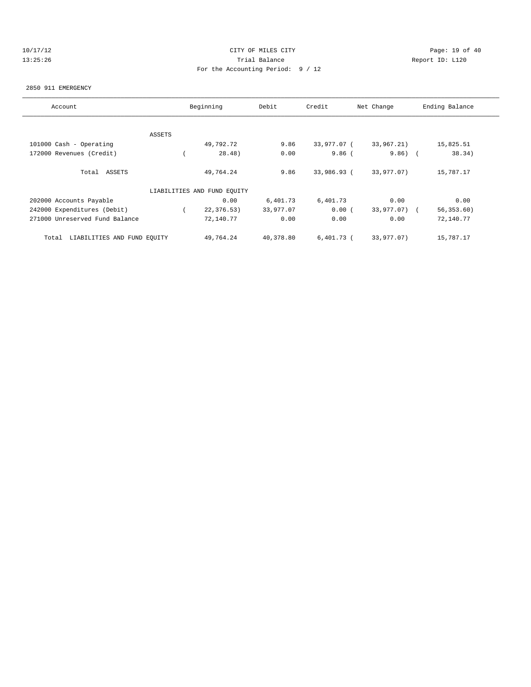# 10/17/12 Page: 19 of 40 13:25:26 Trial Balance Report ID: L120 For the Accounting Period: 9 / 12

#### 2850 911 EMERGENCY

| Account                              |               | Beginning                   | Debit     | Credit       | Net Change   | Ending Balance |
|--------------------------------------|---------------|-----------------------------|-----------|--------------|--------------|----------------|
|                                      |               |                             |           |              |              |                |
|                                      | <b>ASSETS</b> |                             |           |              |              |                |
| 101000 Cash - Operating              |               | 49,792.72                   | 9.86      | 33,977.07 (  | 33,967.21)   | 15,825.51      |
| 172000 Revenues (Credit)             |               | 28.48)                      | 0.00      | $9.86$ (     | $9.86)$ (    | 38.34)         |
| Total ASSETS                         |               | 49,764.24                   | 9.86      | 33,986.93 (  | 33,977.07)   | 15,787.17      |
|                                      |               | LIABILITIES AND FUND EQUITY |           |              |              |                |
| 202000 Accounts Payable              |               | 0.00                        | 6,401.73  | 6,401.73     | 0.00         | 0.00           |
| 242000 Expenditures (Debit)          |               | 22,376.53)                  | 33,977.07 | 0.00(        | 33,977.07) ( | 56, 353.60)    |
| 271000 Unreserved Fund Balance       |               | 72,140.77                   | 0.00      | 0.00         | 0.00         | 72,140.77      |
| LIABILITIES AND FUND EQUITY<br>Total |               | 49,764.24                   | 40,378.80 | $6,401.73$ ( | 33,977.07)   | 15,787.17      |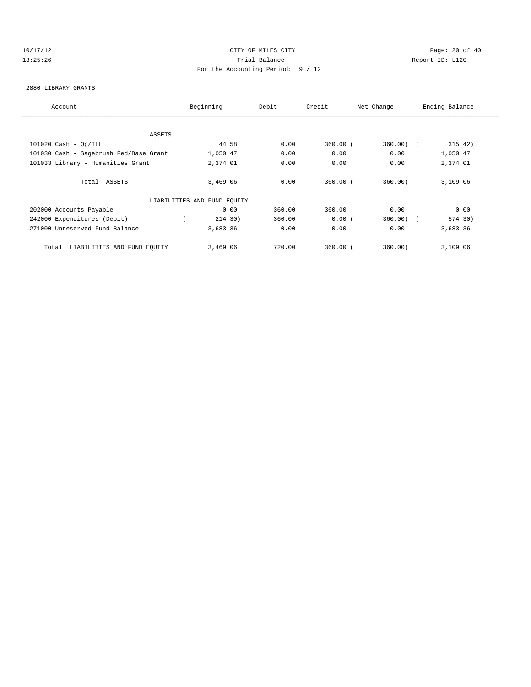# 10/17/12 Page: 20 of 40 13:25:26 Trial Balance Report ID: L120 For the Accounting Period: 9 / 12

#### 2880 LIBRARY GRANTS

| Account                                | Beginning                   | Debit  | Credit       | Net Change  | Ending Balance |
|----------------------------------------|-----------------------------|--------|--------------|-------------|----------------|
|                                        |                             |        |              |             |                |
| ASSETS                                 |                             |        |              |             |                |
| $101020$ Cash - Op/ILL                 | 44.58                       | 0.00   | $360.00$ (   | $360.00)$ ( | 315.42)        |
| 101030 Cash - Sagebrush Fed/Base Grant | 1,050.47                    | 0.00   | 0.00         | 0.00        | 1,050.47       |
| 101033 Library - Humanities Grant      | 2,374.01                    | 0.00   | 0.00         | 0.00        | 2,374.01       |
| Total ASSETS                           | 3,469.06                    | 0.00   | $360.00$ $($ | 360.00      | 3,109.06       |
|                                        | LIABILITIES AND FUND EQUITY |        |              |             |                |
| 202000 Accounts Payable                | 0.00                        | 360.00 | 360.00       | 0.00        | 0.00           |
| 242000 Expenditures (Debit)            | 214.30)                     | 360.00 | 0.00(        | $360.00)$ ( | 574.30)        |
| 271000 Unreserved Fund Balance         | 3,683.36                    | 0.00   | 0.00         | 0.00        | 3,683.36       |
| LIABILITIES AND FUND EQUITY<br>Total   | 3,469.06                    | 720.00 | $360.00$ (   | 360.00)     | 3,109.06       |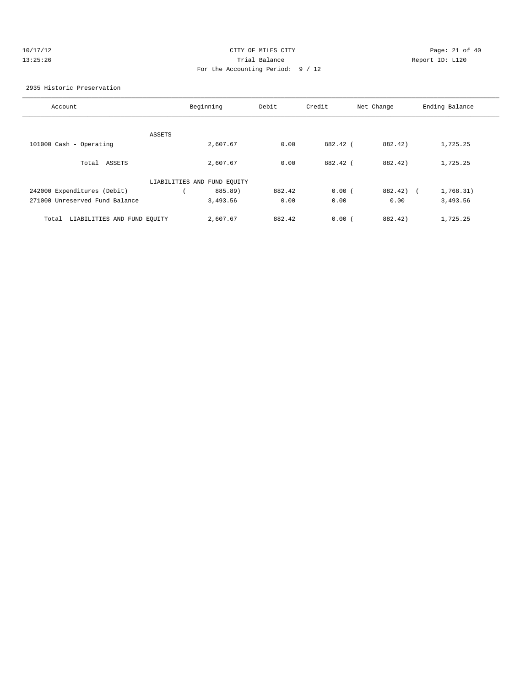| п. |  | $\sqrt{1}$ |  | ٠, |  |
|----|--|------------|--|----|--|
|    |  | 25:        |  | 6  |  |

# CITY OF MILES CITY **Page: 21 of 40** 13:35:26 Trial Balance Report ID: L120 For the Accounting Period: 9 / 12

#### 2935 Historic Preservation

| Account                              | Beginning                   | Debit  | Credit   | Net Change            | Ending Balance |
|--------------------------------------|-----------------------------|--------|----------|-----------------------|----------------|
|                                      |                             |        |          |                       |                |
|                                      |                             |        |          |                       |                |
| ASSETS                               |                             |        |          |                       |                |
| 101000 Cash - Operating              | 2,607.67                    | 0.00   | 882.42 ( | 882.42)               | 1,725.25       |
|                                      |                             |        |          |                       |                |
| Total ASSETS                         | 2,607.67                    | 0.00   | 882.42 ( | 882.42)               | 1,725.25       |
|                                      | LIABILITIES AND FUND EQUITY |        |          |                       |                |
| 242000 Expenditures (Debit)          | 885.89)                     | 882.42 | 0.00(    | 882.42)<br>$\sqrt{1}$ | 1,768.31)      |
| 271000 Unreserved Fund Balance       | 3,493.56                    | 0.00   | 0.00     | 0.00                  | 3,493.56       |
|                                      |                             |        |          |                       |                |
| LIABILITIES AND FUND EQUITY<br>Total | 2,607.67                    | 882.42 | 0.00(    | 882.42)               | 1,725.25       |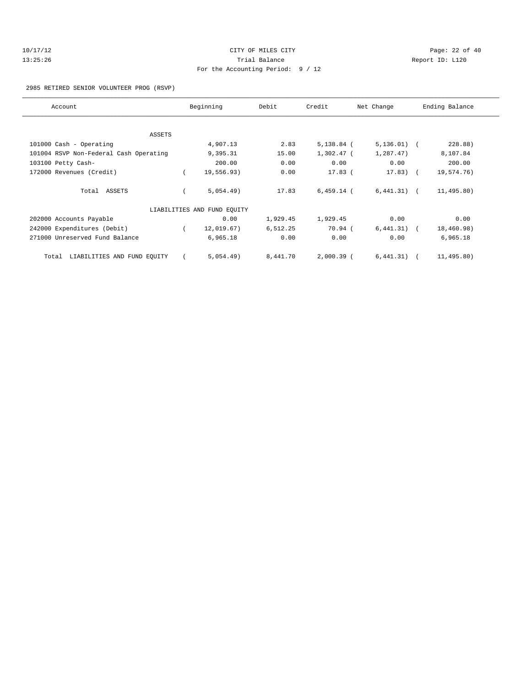# 10/17/12 Page: 22 of 40 13:25:26 Trial Balance Report ID: L120 For the Accounting Period: 9 / 12

#### 2985 RETIRED SENIOR VOLUNTEER PROG (RSVP)

| Account                                | Beginning                   | Debit    | Credit       | Net Change    | Ending Balance |
|----------------------------------------|-----------------------------|----------|--------------|---------------|----------------|
|                                        |                             |          |              |               |                |
| <b>ASSETS</b>                          |                             |          |              |               |                |
| 101000 Cash - Operating                | 4,907.13                    | 2.83     | $5,138.84$ ( | $5,136.01)$ ( | 228.88)        |
| 101004 RSVP Non-Federal Cash Operating | 9,395.31                    | 15.00    | 1,302.47 (   | 1,287.47)     | 8,107.84       |
| 103100 Petty Cash-                     | 200.00                      | 0.00     | 0.00         | 0.00          | 200.00         |
| 172000 Revenues (Credit)               | 19,556.93)                  | 0.00     | $17.83$ (    | $17.83$ ) (   | 19,574.76)     |
| Total ASSETS                           | 5,054.49)                   | 17.83    | $6,459.14$ ( | $6,441.31)$ ( | 11, 495.80)    |
|                                        | LIABILITIES AND FUND EQUITY |          |              |               |                |
| 202000 Accounts Payable                | 0.00                        | 1,929.45 | 1,929.45     | 0.00          | 0.00           |
| 242000 Expenditures (Debit)            | 12,019.67)                  | 6,512.25 | 70.94 (      | $6,441.31)$ ( | 18,460.98)     |
| 271000 Unreserved Fund Balance         | 6,965.18                    | 0.00     | 0.00         | 0.00          | 6,965.18       |
| LIABILITIES AND FUND EQUITY<br>Total   | 5,054.49)                   | 8,441.70 | 2,000.39 (   | $6,441.31)$ ( | 11,495.80)     |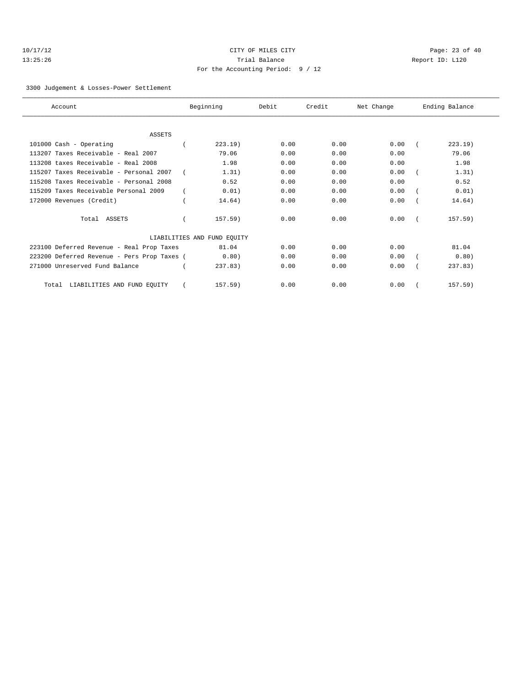| 10/17/12 |  |  |  |  |
|----------|--|--|--|--|
| 13:25:26 |  |  |  |  |

# CITY OF MILES CITY **Page: 23 of 40** 13:35:26 Trial Balance Report ID: L120 For the Accounting Period: 9 / 12

3300 Judgement & Losses-Power Settlement

| Account                                     | Beginning                   | Debit | Credit | Net Change | Ending Balance |
|---------------------------------------------|-----------------------------|-------|--------|------------|----------------|
|                                             |                             |       |        |            |                |
| <b>ASSETS</b>                               |                             |       |        |            |                |
| 101000 Cash - Operating                     | 223.19)                     | 0.00  | 0.00   | 0.00       | 223.19         |
| 113207 Taxes Receivable - Real 2007         | 79.06                       | 0.00  | 0.00   | 0.00       | 79.06          |
| 113208 taxes Receivable - Real 2008         | 1.98                        | 0.00  | 0.00   | 0.00       | 1.98           |
| 115207 Taxes Receivable - Personal 2007     | 1.31)                       | 0.00  | 0.00   | 0.00       | 1.31)          |
| 115208 Taxes Receivable - Personal 2008     | 0.52                        | 0.00  | 0.00   | 0.00       | 0.52           |
| 115209 Taxes Receivable Personal 2009       | 0.01)                       | 0.00  | 0.00   | 0.00       | 0.01)          |
| 172000 Revenues (Credit)                    | 14.64)                      | 0.00  | 0.00   | 0.00       | 14.64)         |
| Total ASSETS                                | $157.59$ )                  | 0.00  | 0.00   | 0.00       | $157.59$ )     |
|                                             | LIABILITIES AND FUND EQUITY |       |        |            |                |
| 223100 Deferred Revenue - Real Prop Taxes   | 81.04                       | 0.00  | 0.00   | 0.00       | 81.04          |
| 223200 Deferred Revenue - Pers Prop Taxes ( | 0.80)                       | 0.00  | 0.00   | 0.00       | 0.80)          |
| 271000 Unreserved Fund Balance              | 237.83                      | 0.00  | 0.00   | 0.00       | 237.83         |
| LIABILITIES AND FUND EQUITY<br>Total        | 157.59)                     | 0.00  | 0.00   | 0.00       | 157.59)        |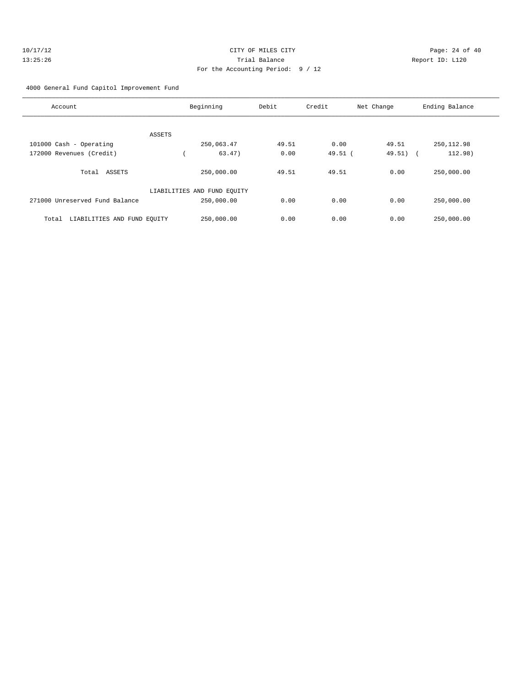| 10/17/12 | CITY OF MILES CITY                | Page: 24 of 40  |
|----------|-----------------------------------|-----------------|
| 13:25:26 | Trial Balance                     | Report ID: L120 |
|          | For the Accounting Period: 9 / 12 |                 |

4000 General Fund Capitol Improvement Fund

| Account                              | Beginning                   | Debit | Credit  | Net Change | Ending Balance        |
|--------------------------------------|-----------------------------|-------|---------|------------|-----------------------|
| ASSETS                               |                             |       |         |            |                       |
| 101000 Cash - Operating              | 250,063.47                  | 49.51 | 0.00    | 49.51      | 250, 112.98           |
| 172000 Revenues (Credit)             | 63.47)                      | 0.00  | 49.51 ( | 49.51)     | 112.98)<br>$\sqrt{2}$ |
| Total ASSETS                         | 250,000.00                  | 49.51 | 49.51   | 0.00       | 250,000.00            |
|                                      | LIABILITIES AND FUND EQUITY |       |         |            |                       |
| 271000 Unreserved Fund Balance       | 250,000.00                  | 0.00  | 0.00    | 0.00       | 250,000.00            |
| LIABILITIES AND FUND EQUITY<br>Total | 250,000.00                  | 0.00  | 0.00    | 0.00       | 250,000.00            |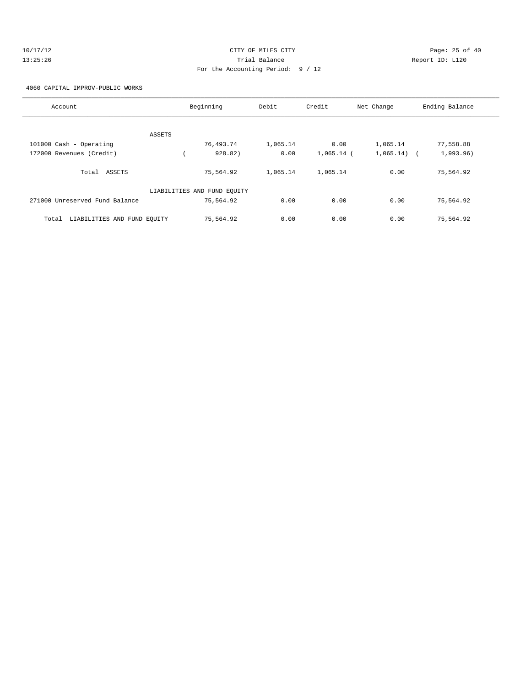| 10/17/12 | CITY OF MILES CITY                | Page: 25 of 40  |
|----------|-----------------------------------|-----------------|
| 13:25:26 | Trial Balance                     | Report ID: L120 |
|          | For the Accounting Period: 9 / 12 |                 |

4060 CAPITAL IMPROV-PUBLIC WORKS

| Account                              | Beginning                   | Debit    | Credit       | Net Change | Ending Balance          |
|--------------------------------------|-----------------------------|----------|--------------|------------|-------------------------|
|                                      |                             |          |              |            |                         |
| ASSETS                               |                             |          |              |            |                         |
| 101000 Cash - Operating              | 76,493.74                   | 1,065.14 | 0.00         | 1,065.14   | 77,558.88               |
| 172000 Revenues (Credit)             | 928.82)                     | 0.00     | $1,065.14$ ( | 1,065.14)  | 1,993.96)<br>$\sqrt{2}$ |
| ASSETS<br>Total                      | 75,564.92                   | 1,065.14 | 1,065.14     | 0.00       | 75,564.92               |
|                                      | LIABILITIES AND FUND EQUITY |          |              |            |                         |
| 271000 Unreserved Fund Balance       | 75,564.92                   | 0.00     | 0.00         | 0.00       | 75,564.92               |
| LIABILITIES AND FUND EQUITY<br>Total | 75,564.92                   | 0.00     | 0.00         | 0.00       | 75,564.92               |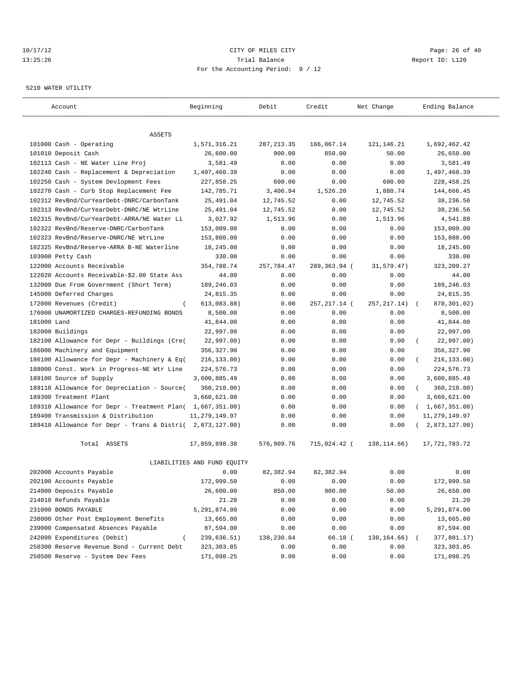#### 10/17/12 Page: 26 of 40 13:25:26 Trial Balance Report ID: L120 For the Accounting Period: 9 / 12

#### 5210 WATER UTILITY

| Account                                                                                 | Beginning                   | Debit        | Credit        | Net Change    | Ending Balance          |
|-----------------------------------------------------------------------------------------|-----------------------------|--------------|---------------|---------------|-------------------------|
|                                                                                         |                             |              |               |               |                         |
| ASSETS                                                                                  |                             |              |               |               |                         |
| 101000 Cash - Operating                                                                 | 1,571,316.21                | 287, 213.35  | 166,067.14    | 121, 146. 21  | 1,692,462.42            |
| 101010 Deposit Cash                                                                     | 26,600.00                   | 900.00       | 850.00        | 50.00         | 26,650.00               |
| 102113 Cash - NE Water Line Proj                                                        | 3,581.49                    | 0.00         | 0.00          | 0.00          | 3,581.49                |
| 102240 Cash - Replacement & Depreciation                                                | 1,497,460.39                | 0.00         | 0.00          | 0.00          | 1,497,460.39            |
| 102250 Cash - System Devlopment Fees                                                    | 227,858.25<br>142,785.71    | 600.00       | 0.00          | 600.00        | 228, 458.25             |
| 102270 Cash - Curb Stop Replacement Fee                                                 |                             | 3,406.94     | 1,526.20      | 1,880.74      | 144,666.45              |
| 102312 RevBnd/CurYearDebt-DNRC/CarbonTank                                               | 25,491.04                   | 12,745.52    | 0.00          | 12,745.52     | 38,236.56               |
| 102313 RevBnd/CurYearDebt-DNRC/NE WtrLine<br>102315 RevBnd/CurYearDebt-ARRA/NE Water Li | 25,491.04                   | 12,745.52    | 0.00          | 12,745.52     | 38,236.56               |
|                                                                                         | 3,027.92                    | 1,513.96     | 0.00          | 1,513.96      | 4,541.88                |
| 102322 RevBnd/Reserve-DNRC/CarbonTank<br>102323 RevBnd/Reserve-DNRC/NE WtrLine          | 153,009.00                  | 0.00         | 0.00<br>0.00  | 0.00<br>0.00  | 153,009.00              |
| 102325 RevBnd/Reserve-ARRA B-NE Waterline                                               | 153,808.00<br>18,245.00     | 0.00<br>0.00 | 0.00          | 0.00          | 153,808.00<br>18,245.00 |
| 103000 Petty Cash                                                                       | 330.00                      | 0.00         | 0.00          | 0.00          | 330.00                  |
| 122000 Accounts Receivable                                                              | 354,788.74                  | 257,784.47   | 289,363.94 (  | 31,579.47)    | 323, 209.27             |
| 122020 Accounts Receivable-\$2.00 State Ass                                             | 44.00                       | 0.00         | 0.00          | 0.00          | 44.00                   |
| 132000 Due From Government (Short Term)                                                 | 189,246.03                  | 0.00         | 0.00          | 0.00          | 189,246.03              |
| 145000 Deferred Charges                                                                 | 24,815.35                   | 0.00         | 0.00          | 0.00          | 24,815.35               |
| 172000 Revenues (Credit)                                                                | 613,083.88)                 | 0.00         | 257, 217.14 ( | 257, 217. 14) | 870,301.02)             |
| 176000 UNAMORTIZED CHARGES-REFUNDING BONDS                                              | 8,500.00                    | 0.00         | 0.00          | 0.00          | 8,500.00                |
| 181000 Land                                                                             | 41,844.00                   | 0.00         | 0.00          | 0.00          | 41,844.00               |
| 182000 Buildings                                                                        | 22,997.00                   | 0.00         | 0.00          | 0.00          | 22,997.00               |
| 182100 Allowance for Depr - Buildings (Cre(                                             | 22,997.00)                  | 0.00         | 0.00          | 0.00          | 22,997.00)<br>$\left($  |
| 186000 Machinery and Equipment                                                          | 356,327.90                  | 0.00         | 0.00          | 0.00          | 356, 327.90             |
| 186100 Allowance for Depr - Machinery & Eq(                                             | 216, 133.00)                | 0.00         | 0.00          | 0.00          | 216,133.00)             |
| 188000 Const. Work in Progress-NE Wtr Line                                              | 224,576.73                  | 0.00         | 0.00          | 0.00          | 224,576.73              |
| 189100 Source of Supply                                                                 | 3,600,885.49                | 0.00         | 0.00          | 0.00          | 3,600,885.49            |
| 189110 Allowance for Depreciation - Source(                                             | 360,210.00)                 | 0.00         | 0.00          | 0.00          | 360,210.00)<br>$\left($ |
| 189300 Treatment Plant                                                                  | 3,660,621.00                | 0.00         | 0.00          | 0.00          | 3,660,621.00            |
| 189310 Allowance for Depr - Treatment Plan( 1,667,351.00)                               |                             | 0.00         | 0.00          | 0.00          | (1,667,351.00)          |
| 189400 Transmission & Distribution                                                      | 11, 279, 149.97             | 0.00         | 0.00          | 0.00          | 11, 279, 149.97         |
| 189410 Allowance for Depr - Trans & Distri( 2,873,127.00)                               |                             | 0.00         | 0.00          | 0.00          | 2,873,127.00)           |
|                                                                                         |                             |              |               |               |                         |
| Total ASSETS                                                                            | 17,859,898.38               | 576,909.76   | 715,024.42 (  | 138,114.66)   | 17,721,783.72           |
|                                                                                         | LIABILITIES AND FUND EQUITY |              |               |               |                         |
| 202000 Accounts Payable                                                                 | 0.00                        | 82,382.94    | 82, 382.94    | 0.00          | 0.00                    |
| 202100 Accounts Payable                                                                 | 172,999.50                  | 0.00         | 0.00          | 0.00          | 172,999.50              |
| 214000 Deposits Payable                                                                 | 26,600.00                   | 850.00       | 900.00        | 50.00         | 26,650.00               |
| 214010 Refunds Payable                                                                  | 21.20                       | 0.00         | 0.00          | 0.00          | 21.20                   |
| 231000 BONDS PAYABLE                                                                    | 5,291,874.00                | 0.00         | 0.00          | 0.00          | 5,291,874.00            |
| 238000 Other Post Employment Benefits                                                   | 13,665.00                   | 0.00         | 0.00          | 0.00          | 13,665.00               |
| 239000 Compensated Absences Payable                                                     | 87,594.00                   | 0.00         | 0.00          | 0.00          | 87,594.00               |
| 242000 Expenditures (Debit)                                                             | 239,636.51)                 | 138,230.84   | 66.18 (       | 138,164.66)   | 377,801.17)             |
| 250300 Reserve Revenue Bond - Current Debt                                              | 323, 303.85                 | 0.00         | 0.00          | 0.00          | 323, 303.85             |
| 250500 Reserve - System Dev Fees                                                        | 171,098.25                  | 0.00         | 0.00          | 0.00          | 171,098.25              |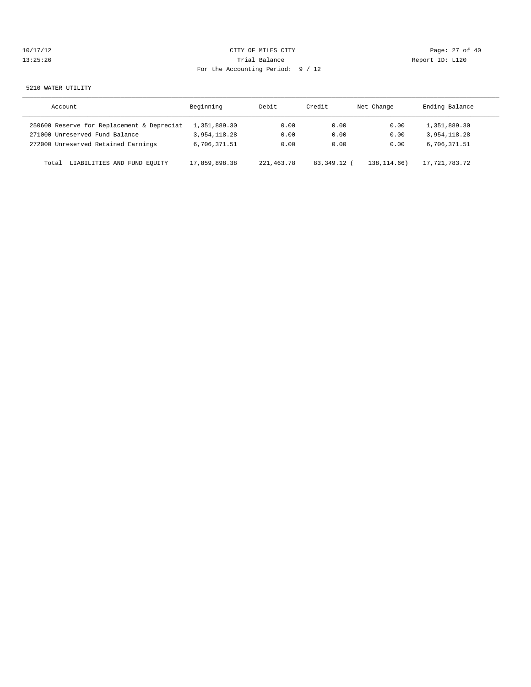| J. | ' 1 | $\sqrt{1}$    |    |  | $\lambda$ |  |
|----|-----|---------------|----|--|-----------|--|
|    |     | $\mathcal{L}$ | 5. |  | 6         |  |

# CITY OF MILES CITY CONTROL CONTROL CONTROL CONTROL CONTROL PAGE: 27 of 40 13:35:26 Trial Balance Report ID: L120 For the Accounting Period: 9 / 12

#### 5210 WATER UTILITY

| Account                                    | Beginning     | Debit      | Credit      | Net Change    | Ending Balance |
|--------------------------------------------|---------------|------------|-------------|---------------|----------------|
| 250600 Reserve for Replacement & Depreciat | 1,351,889.30  | 0.00       | 0.00        | 0.00          | 1,351,889.30   |
| 271000 Unreserved Fund Balance             | 3,954,118.28  | 0.00       | 0.00        | 0.00          | 3,954,118.28   |
| 272000 Unreserved Retained Earnings        | 6,706,371.51  | 0.00       | 0.00        | 0.00          | 6,706,371.51   |
| LIABILITIES AND FUND EQUITY<br>Total       | 17,859,898.38 | 221,463.78 | 83,349.12 ( | 138, 114, 66) | 17,721,783.72  |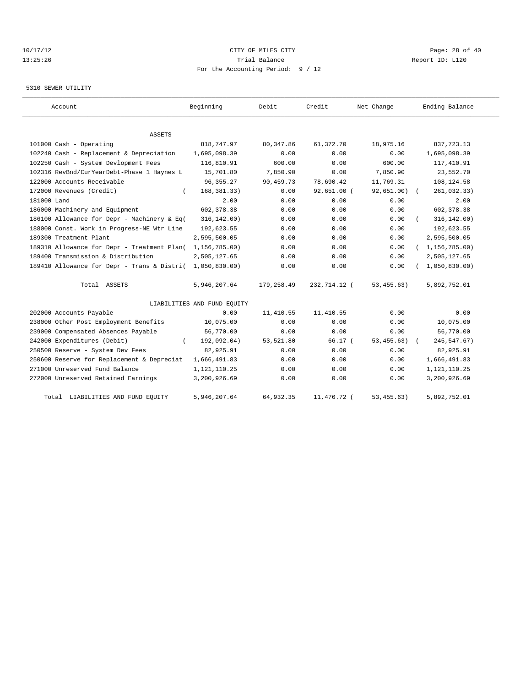# 10/17/12 Page: 28 of 40 13:25:26 Trial Balance Report ID: L120 For the Accounting Period: 9 / 12

#### 5310 SEWER UTILITY

| Account                                     | Beginning                   | Debit      | Credit        | Net Change  | Ending Balance   |
|---------------------------------------------|-----------------------------|------------|---------------|-------------|------------------|
| ASSETS                                      |                             |            |               |             |                  |
| 101000 Cash - Operating                     | 818,747.97                  | 80, 347.86 | 61,372.70     | 18,975.16   | 837,723.13       |
| 102240 Cash - Replacement & Depreciation    | 1,695,098.39                | 0.00       | 0.00          | 0.00        | 1,695,098.39     |
| 102250 Cash - System Devlopment Fees        | 116,810.91                  | 600.00     | 0.00          | 600.00      | 117,410.91       |
| 102316 RevBnd/CurYearDebt-Phase 1 Haynes L  | 15,701.80                   | 7,850.90   | 0.00          | 7,850.90    | 23,552.70        |
| 122000 Accounts Receivable                  | 96, 355. 27                 | 90,459.73  | 78,690.42     | 11,769.31   | 108,124.58       |
| 172000 Revenues (Credit)                    | 168, 381, 33)               | 0.00       | $92,651.00$ ( | 92,651.00)  | 261,032.33)      |
| 181000 Land                                 | 2.00                        | 0.00       | 0.00          | 0.00        | 2.00             |
| 186000 Machinery and Equipment              | 602, 378.38                 | 0.00       | 0.00          | 0.00        | 602, 378.38      |
| 186100 Allowance for Depr - Machinery & Eq( | 316, 142.00)                | 0.00       | 0.00          | 0.00        | 316, 142.00)     |
| 188000 Const. Work in Progress-NE Wtr Line  | 192,623.55                  | 0.00       | 0.00          | 0.00        | 192,623.55       |
| 189300 Treatment Plant                      | 2,595,500.05                | 0.00       | 0.00          | 0.00        | 2,595,500.05     |
| 189310 Allowance for Depr - Treatment Plan( | 1,156,785.00)               | 0.00       | 0.00          | 0.00        | (1, 156, 785.00) |
| 189400 Transmission & Distribution          | 2,505,127.65                | 0.00       | 0.00          | 0.00        | 2,505,127.65     |
| 189410 Allowance for Depr - Trans & Distri( | 1,050,830.00                | 0.00       | 0.00          | 0.00        | 1,050,830.00     |
| Total ASSETS                                | 5,946,207.64                | 179,258.49 | 232,714.12 (  | 53, 455.63) | 5,892,752.01     |
|                                             | LIABILITIES AND FUND EOUITY |            |               |             |                  |
| 202000 Accounts Payable                     | 0.00                        | 11,410.55  | 11, 410.55    | 0.00        | 0.00             |
| 238000 Other Post Employment Benefits       | 10,075.00                   | 0.00       | 0.00          | 0.00        | 10,075.00        |
| 239000 Compensated Absences Payable         | 56,770.00                   | 0.00       | 0.00          | 0.00        | 56,770.00        |
| 242000 Expenditures (Debit)                 | 192,092.04)                 | 53,521.80  | 66.17(        | 53, 455.63) | 245, 547.67)     |
| 250500 Reserve - System Dev Fees            | 82,925.91                   | 0.00       | 0.00          | 0.00        | 82,925.91        |
| 250600 Reserve for Replacement & Depreciat  | 1,666,491.83                | 0.00       | 0.00          | 0.00        | 1,666,491.83     |
| 271000 Unreserved Fund Balance              | 1,121,110.25                | 0.00       | 0.00          | 0.00        | 1, 121, 110.25   |
| 272000 Unreserved Retained Earnings         | 3,200,926.69                | 0.00       | 0.00          | 0.00        | 3,200,926.69     |
| Total LIABILITIES AND FUND EQUITY           | 5,946,207.64                | 64,932.35  | 11,476.72 (   | 53, 455.63) | 5,892,752.01     |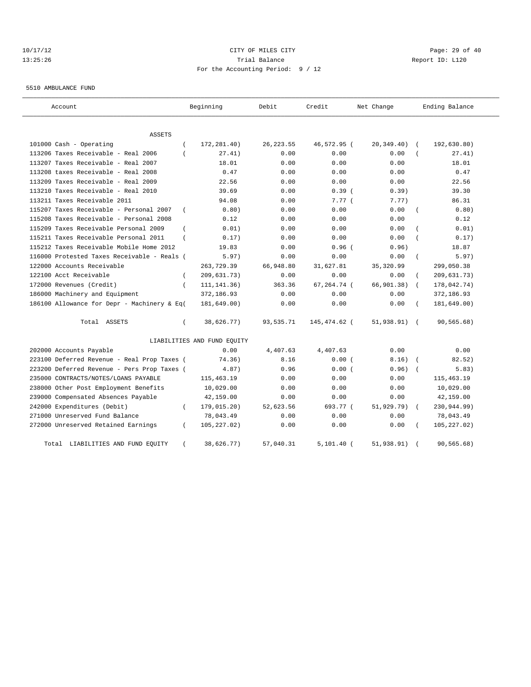# 10/17/12 Page: 29 of 40 13:25:26 Trial Balance Report ID: L120 For the Accounting Period: 9 / 12

5510 AMBULANCE FUND

| Account                                     |                | Beginning                   | Debit      | Credit       | Net Change     |            | Ending Balance          |
|---------------------------------------------|----------------|-----------------------------|------------|--------------|----------------|------------|-------------------------|
| <b>ASSETS</b>                               |                |                             |            |              |                |            |                         |
| 101000 Cash - Operating                     | $\overline{ }$ | 172,281.40)                 | 26, 223.55 | 46,572.95 (  | 20,349.40)     |            | 192,630.80)             |
| 113206 Taxes Receivable - Real 2006         |                | 27.41)                      | 0.00       | 0.00         | 0.00           |            | 27.41)                  |
| 113207 Taxes Receivable - Real 2007         |                | 18.01                       | 0.00       | 0.00         | 0.00           |            | 18.01                   |
| 113208 taxes Receivable - Real 2008         |                | 0.47                        | 0.00       | 0.00         | 0.00           |            | 0.47                    |
| 113209 Taxes Receivable - Real 2009         |                | 22.56                       | 0.00       | 0.00         | 0.00           |            | 22.56                   |
| 113210 Taxes Receivable - Real 2010         |                | 39.69                       | 0.00       | 0.39(        | 0.39           |            | 39.30                   |
| 113211 Taxes Receivable 2011                |                | 94.08                       | 0.00       | 7.77(        | 7.77)          |            | 86.31                   |
| 115207 Taxes Receivable - Personal 2007     | $\left($       | 0.80)                       | 0.00       | 0.00         | 0.00           |            | 0.80)                   |
| 115208 Taxes Receivable - Personal 2008     |                | 0.12                        | 0.00       | 0.00         | 0.00           |            | 0.12                    |
| 115209 Taxes Receivable Personal 2009       |                | 0.01)                       | 0.00       | 0.00         | 0.00           |            | 0.01)                   |
| 115211 Taxes Receivable Personal 2011       |                | 0.17)                       | 0.00       | 0.00         | 0.00           |            | 0.17)                   |
| 115212 Taxes Receivable Mobile Home 2012    |                | 19.83                       | 0.00       | $0.96$ (     | 0.96)          |            | 18.87                   |
| 116000 Protested Taxes Receivable - Reals ( |                | 5.97)                       | 0.00       | 0.00         | 0.00           |            | 5.97)<br>$\left($       |
| 122000 Accounts Receivable                  |                | 263,729.39                  | 66,948.80  | 31,627.81    | 35, 320.99     |            | 299,050.38              |
| 122100 Acct Receivable                      | $\left($       | 209,631.73)                 | 0.00       | 0.00         | 0.00           |            | 209,631.73)<br>$\left($ |
| 172000 Revenues (Credit)                    | $\left($       | 111, 141. 36)               | 363.36     | 67,264.74 (  | 66, 901, 38)   |            | 178,042.74)<br>$\left($ |
| 186000 Machinery and Equipment              |                | 372,186.93                  | 0.00       | 0.00         | 0.00           |            | 372,186.93              |
| 186100 Allowance for Depr - Machinery & Eq( |                | 181,649.00)                 | 0.00       | 0.00         | 0.00           |            | 181,649.00)<br>$\left($ |
| Total ASSETS                                | $\left($       | 38,626.77)                  | 93,535.71  | 145,474.62 ( | $51,938.91)$ ( |            | 90, 565.68)             |
|                                             |                | LIABILITIES AND FUND EQUITY |            |              |                |            |                         |
| 202000 Accounts Payable                     |                | 0.00                        | 4,407.63   | 4,407.63     | 0.00           |            | 0.00                    |
| 223100 Deferred Revenue - Real Prop Taxes ( |                | 74.36)                      | 8.16       | 0.00(        | 8.16)          |            | 82.52)                  |
| 223200 Deferred Revenue - Pers Prop Taxes ( |                | 4.87)                       | 0.96       | 0.00(        | 0.96)          | $\sqrt{2}$ | 5.83)                   |
| 235000 CONTRACTS/NOTES/LOANS PAYABLE        |                | 115,463.19                  | 0.00       | 0.00         | 0.00           |            | 115, 463.19             |
| 238000 Other Post Employment Benefits       |                | 10,029.00                   | 0.00       | 0.00         | 0.00           |            | 10,029.00               |
| 239000 Compensated Absences Payable         |                | 42,159.00                   | 0.00       | 0.00         | 0.00           |            | 42,159.00               |
| 242000 Expenditures (Debit)                 | $\left($       | 179,015.20)                 | 52,623.56  | 693.77 (     | 51,929.79)     | $\sqrt{ }$ | 230,944.99)             |
| 271000 Unreserved Fund Balance              |                | 78,043.49                   | 0.00       | 0.00         | 0.00           |            | 78,043.49               |
| 272000 Unreserved Retained Earnings         | $\left($       | 105, 227.02)                | 0.00       | 0.00         | 0.00           |            | 105, 227.02)            |
| LIABILITIES AND FUND EQUITY<br>Total        |                | 38,626.77)                  | 57,040.31  | $5,101.40$ ( | 51,938.91)     |            | 90, 565.68)             |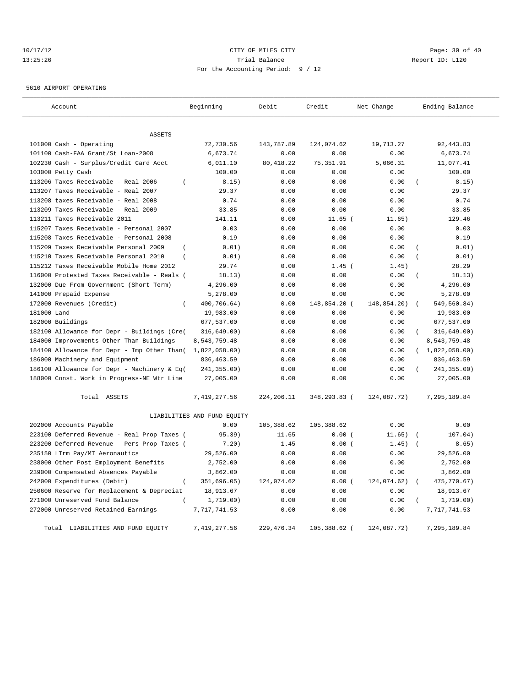# 10/17/12 Page: 30 of 40 13:25:26 Trial Balance Report ID: L120 For the Accounting Period: 9 / 12

5610 AIRPORT OPERATING

| Account                                                   | Beginning                   | Debit                  | Credit       | Net Change  | Ending Balance             |
|-----------------------------------------------------------|-----------------------------|------------------------|--------------|-------------|----------------------------|
| <b>ASSETS</b>                                             |                             |                        |              |             |                            |
| 101000 Cash - Operating                                   | 72,730.56                   | 143,787.89             | 124,074.62   | 19,713.27   | 92, 443.83                 |
| 101100 Cash-FAA Grant/St Loan-2008                        | 6,673.74                    | 0.00                   | 0.00         | 0.00        | 6,673.74                   |
| 102230 Cash - Surplus/Credit Card Acct                    | 6,011.10                    | 80, 418.22             | 75, 351.91   | 5,066.31    | 11,077.41                  |
| 103000 Petty Cash                                         | 100.00                      | 0.00                   | 0.00         | 0.00        | 100.00                     |
| 113206 Taxes Receivable - Real 2006<br>$\overline{ }$     | 8.15)                       | 0.00                   | 0.00         | 0.00        | 8.15)                      |
| 113207 Taxes Receivable - Real 2007                       | 29.37                       | 0.00                   | 0.00         | 0.00        | 29.37                      |
| 113208 taxes Receivable - Real 2008                       | 0.74                        | 0.00                   | 0.00         | 0.00        | 0.74                       |
| 113209 Taxes Receivable - Real 2009                       | 33.85                       | 0.00                   | 0.00         | 0.00        | 33.85                      |
| 113211 Taxes Receivable 2011                              | 141.11                      | 0.00                   | $11.65$ (    | 11.65)      | 129.46                     |
| 115207 Taxes Receivable - Personal 2007                   | 0.03                        | 0.00                   | 0.00         | 0.00        | 0.03                       |
| 115208 Taxes Receivable - Personal 2008                   | 0.19                        | 0.00                   | 0.00         | 0.00        | 0.19                       |
| 115209 Taxes Receivable Personal 2009<br>$\overline{ }$   | 0.01)                       | 0.00                   | 0.00         | 0.00        | 0.01)                      |
| 115210 Taxes Receivable Personal 2010<br>$\overline{(\ }$ | 0.01)                       | 0.00                   | 0.00         | 0.00        | 0.01)<br>$\overline{(}$    |
| 115212 Taxes Receivable Mobile Home 2012                  | 29.74                       | 0.00                   | $1.45$ (     | 1.45)       | 28.29                      |
| 116000 Protested Taxes Receivable - Reals (               | 18.13)                      | 0.00                   | 0.00         | 0.00        | 18.13)<br>$\overline{(\ }$ |
| 132000 Due From Government (Short Term)                   | 4,296.00                    | 0.00                   | 0.00         | 0.00        | 4,296.00                   |
| 141000 Prepaid Expense                                    | 5,278.00                    | 0.00                   | 0.00         | 0.00        | 5,278.00                   |
| 172000 Revenues (Credit)<br>$\overline{ }$                | 400,706.64)                 | ${\bf 0}$ . ${\bf 00}$ | 148,854.20 ( | 148,854.20) | 549,560.84)<br>$\left($    |
| 181000 Land                                               | 19,983.00                   | 0.00                   | 0.00         | 0.00        | 19,983.00                  |
| 182000 Buildings                                          | 677,537.00                  | 0.00                   | 0.00         | 0.00        | 677,537.00                 |
| 182100 Allowance for Depr - Buildings (Cre(               | 316,649.00)                 | 0.00                   | 0.00         | 0.00        | 316,649.00)<br>$\left($    |
| 184000 Improvements Other Than Buildings                  | 8,543,759.48                | 0.00                   | 0.00         | 0.00        | 8,543,759.48               |
| 184100 Allowance for Depr - Imp Other Than(               | 1,822,058.00)               | 0.00                   | 0.00         | 0.00        | (1,822,058.00)             |
| 186000 Machinery and Equipment                            | 836, 463.59                 | 0.00                   | 0.00         | 0.00        | 836, 463.59                |
| 186100 Allowance for Depr - Machinery & Eq(               | 241,355.00)                 | 0.00                   | 0.00         | 0.00        | 241,355.00)                |
| 188000 Const. Work in Progress-NE Wtr Line                | 27,005.00                   | 0.00                   | 0.00         | 0.00        | 27,005.00                  |
| Total ASSETS                                              | 7,419,277.56                | 224,206.11             | 348,293.83 ( | 124,087.72) | 7,295,189.84               |
|                                                           | LIABILITIES AND FUND EQUITY |                        |              |             |                            |
| 202000 Accounts Payable                                   | 0.00                        | 105,388.62             | 105,388.62   | 0.00        | 0.00                       |
| 223100 Deferred Revenue - Real Prop Taxes (               | 95.39)                      | 11.65                  | 0.00(        | 11.65)      | 107.04)                    |
| 223200 Deferred Revenue - Pers Prop Taxes (               | 7.20)                       | 1.45                   | 0.00(        | 1.45)       | 8.65)                      |
| 235150 LTrm Pay/MT Aeronautics                            | 29,526.00                   | 0.00                   | 0.00         | 0.00        | 29,526.00                  |
| 238000 Other Post Employment Benefits                     | 2,752.00                    | 0.00                   | 0.00         | 0.00        | 2,752.00                   |
| 239000 Compensated Absences Payable                       | 3,862.00                    | 0.00                   | 0.00         | 0.00        | 3,862.00                   |
| 242000 Expenditures (Debit)<br>$\overline{(\ }$           | 351,696.05)                 | 124,074.62             | 0.00(        | 124,074.62) | 475,770.67)<br>$\sqrt{ }$  |
| 250600 Reserve for Replacement & Depreciat                | 18,913.67                   | 0.00                   | 0.00         | 0.00        | 18,913.67                  |
| 271000 Unreserved Fund Balance                            | 1,719.00)                   | 0.00                   | 0.00         | 0.00        | 1,719.00)                  |
| 272000 Unreserved Retained Earnings                       | 7,717,741.53                | 0.00                   | 0.00         | 0.00        | 7,717,741.53               |
| Total LIABILITIES AND FUND EQUITY                         | 7,419,277.56                | 229, 476.34            | 105,388.62 ( | 124,087.72) | 7,295,189.84               |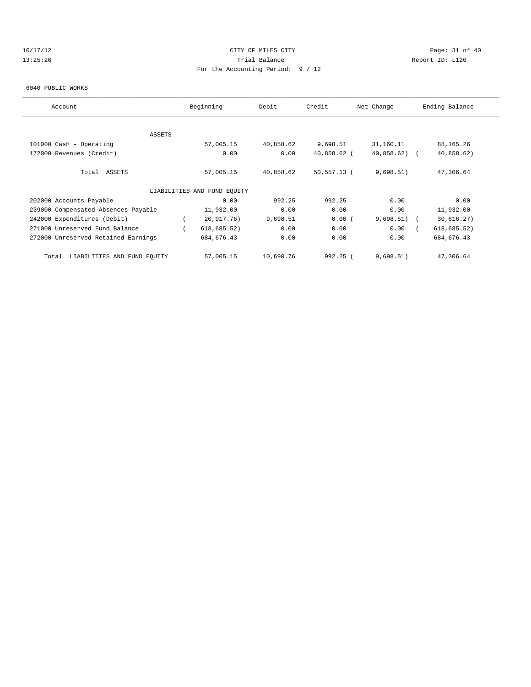# 10/17/12 Page: 31 of 40 13:25:26 Trial Balance Report ID: L120 For the Accounting Period: 9 / 12

#### 6040 PUBLIC WORKS

| Account                              | Beginning                   | Debit     | Credit         | Net Change    | Ending Balance |
|--------------------------------------|-----------------------------|-----------|----------------|---------------|----------------|
|                                      |                             |           |                |               |                |
| <b>ASSETS</b>                        |                             |           |                |               |                |
| 101000 Cash - Operating              | 57,005.15                   | 40,858.62 | 9,698.51       | 31,160.11     | 88,165.26      |
| 172000 Revenues (Credit)             | 0.00                        | 0.00      | 40,858.62 (    | $40,858.62$ ( | 40,858.62)     |
| Total ASSETS                         | 57,005.15                   | 40,858.62 | $50, 557.13$ ( | 9,698.51)     | 47,306.64      |
|                                      | LIABILITIES AND FUND EQUITY |           |                |               |                |
| 202000 Accounts Payable              | 0.00                        | 992.25    | 992.25         | 0.00          | 0.00           |
| 239000 Compensated Absences Payable  | 11,932.00                   | 0.00      | 0.00           | 0.00          | 11,932.00      |
| 242000 Expenditures (Debit)          | 20,917.76)                  | 9,698.51  | 0.00(          | $9,698.51)$ ( | 30,616.27)     |
| 271000 Unreserved Fund Balance       | 618, 685.52)                | 0.00      | 0.00           | 0.00          | 618, 685.52)   |
| 272000 Unreserved Retained Earnings  | 684, 676.43                 | 0.00      | 0.00           | 0.00          | 684, 676.43    |
| LIABILITIES AND FUND EQUITY<br>Total | 57,005.15                   | 10,690.76 | $992.25$ (     | 9,698.51)     | 47,306.64      |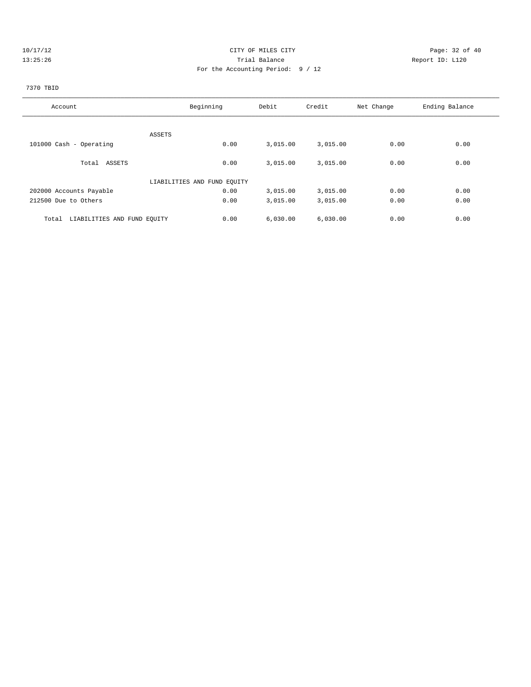# 10/17/12 Page: 32 of 40 13:25:26 Trial Balance Report ID: L120 For the Accounting Period: 9 / 12

# 7370 TBID

| Account                              | Beginning                   | Debit    | Credit   | Net Change | Ending Balance |
|--------------------------------------|-----------------------------|----------|----------|------------|----------------|
|                                      |                             |          |          |            |                |
| ASSETS                               |                             |          |          |            |                |
| 101000 Cash - Operating              | 0.00                        | 3,015.00 | 3,015.00 | 0.00       | 0.00           |
| Total ASSETS                         | 0.00                        | 3,015.00 | 3,015.00 | 0.00       | 0.00           |
|                                      |                             |          |          |            |                |
|                                      | LIABILITIES AND FUND EQUITY |          |          |            |                |
| 202000 Accounts Payable              | 0.00                        | 3,015.00 | 3,015.00 | 0.00       | 0.00           |
| 212500 Due to Others                 | 0.00                        | 3,015.00 | 3,015.00 | 0.00       | 0.00           |
| LIABILITIES AND FUND EQUITY<br>Total | 0.00                        | 6.030.00 | 6,030.00 | 0.00       | 0.00           |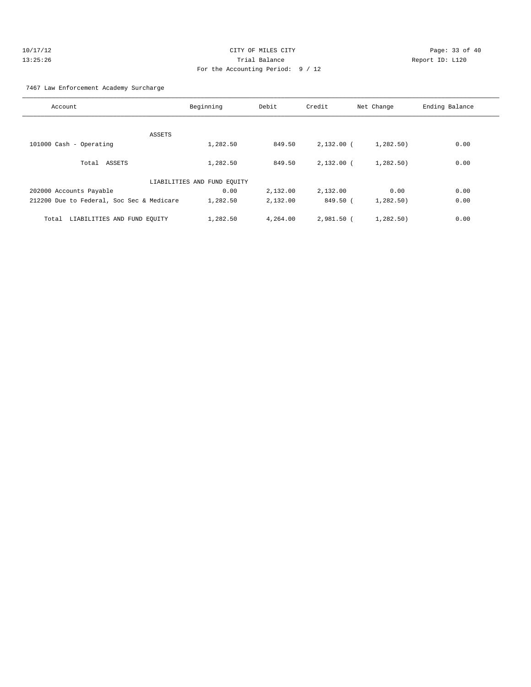| 10/17/12 | CITY OF MILES CITY                | Page: 33 of 40  |
|----------|-----------------------------------|-----------------|
| 13:25:26 | Trial Balance                     | Report ID: L120 |
|          | For the Accounting Period: 9 / 12 |                 |

7467 Law Enforcement Academy Surcharge

| Account                                   | Beginning                   | Debit    | Credit       | Net Change | Ending Balance |
|-------------------------------------------|-----------------------------|----------|--------------|------------|----------------|
|                                           |                             |          |              |            |                |
| ASSETS                                    |                             |          |              |            |                |
| 101000 Cash - Operating                   | 1,282.50                    | 849.50   | $2,132.00$ ( | 1,282.50)  | 0.00           |
| Total ASSETS                              | 1,282.50                    | 849.50   | $2.132.00$ ( | 1,282,50)  | 0.00           |
|                                           | LIABILITIES AND FUND EQUITY |          |              |            |                |
| 202000 Accounts Payable                   | 0.00                        | 2,132.00 | 2,132.00     | 0.00       | 0.00           |
| 212200 Due to Federal, Soc Sec & Medicare | 1,282.50                    | 2,132.00 | 849.50 (     | 1,282.50)  | 0.00           |
| LIABILITIES AND FUND EOUITY<br>Total      | 1,282.50                    | 4,264.00 | 2,981.50 (   | 1,282,50)  | 0.00           |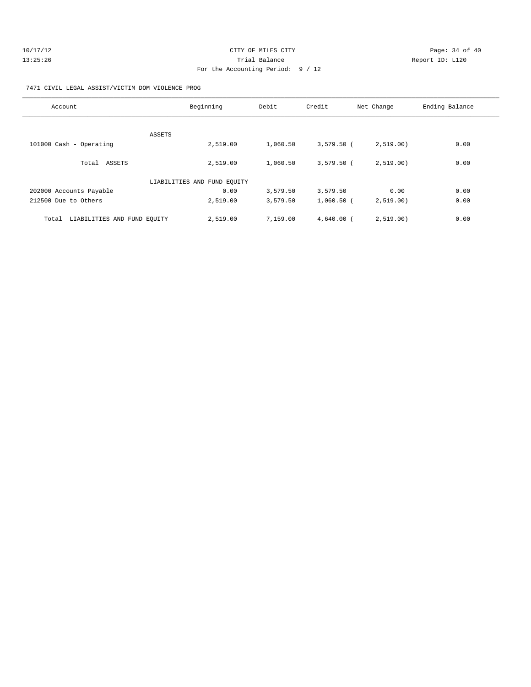| 10/17/12 | CITY OF MILES CITY                | Page: 34 of 40  |
|----------|-----------------------------------|-----------------|
| 13:25:26 | Trial Balance                     | Report ID: L120 |
|          | For the Accounting Period: 9 / 12 |                 |

#### 7471 CIVIL LEGAL ASSIST/VICTIM DOM VIOLENCE PROG

| Account                              | Beginning                   | Debit    | Credit       | Net Change | Ending Balance |
|--------------------------------------|-----------------------------|----------|--------------|------------|----------------|
|                                      |                             |          |              |            |                |
| ASSETS<br>101000 Cash - Operating    | 2,519.00                    | 1,060.50 | $3,579.50$ ( | 2,519.00   | 0.00           |
| Total ASSETS                         | 2,519.00                    | 1,060.50 | $3.579.50$ ( | 2,519.00)  | 0.00           |
|                                      | LIABILITIES AND FUND EOUITY |          |              |            |                |
| 202000 Accounts Payable              | 0.00                        | 3,579.50 | 3,579.50     | 0.00       | 0.00           |
| 212500 Due to Others                 | 2,519.00                    | 3,579.50 | $1,060.50$ ( | 2,519.00)  | 0.00           |
| LIABILITIES AND FUND EQUITY<br>Total | 2,519.00                    | 7,159.00 | $4,640.00$ ( | 2,519.00)  | 0.00           |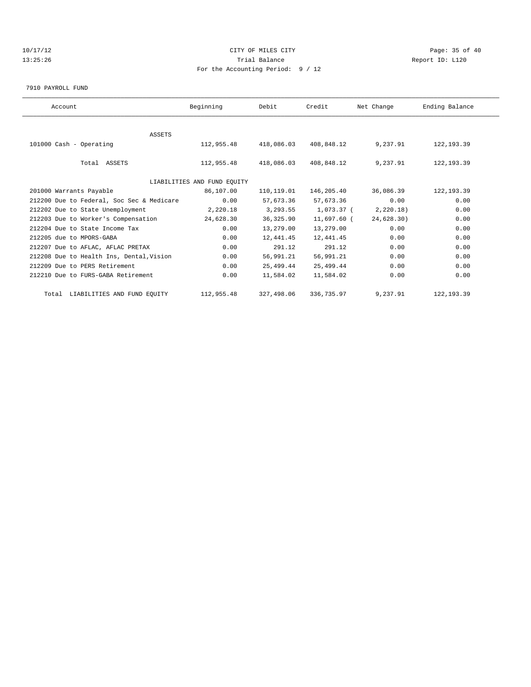# 10/17/12 Page: 35 of 40 13:25:26 Trial Balance Report ID: L120 For the Accounting Period: 9 / 12

7910 PAYROLL FUND

| Account                                   | Beginning                   | Debit      | Credit      | Net Change | Ending Balance |  |
|-------------------------------------------|-----------------------------|------------|-------------|------------|----------------|--|
|                                           |                             |            |             |            |                |  |
| <b>ASSETS</b>                             |                             |            |             |            |                |  |
| 101000 Cash - Operating                   | 112,955.48                  | 418,086.03 | 408,848.12  | 9,237.91   | 122, 193.39    |  |
|                                           |                             |            |             |            |                |  |
| Total ASSETS                              | 112,955.48                  | 418,086.03 | 408,848.12  | 9,237.91   | 122, 193.39    |  |
|                                           |                             |            |             |            |                |  |
|                                           | LIABILITIES AND FUND EQUITY |            |             |            |                |  |
| 201000 Warrants Payable                   | 86,107.00                   | 110,119.01 | 146,205.40  | 36,086.39  | 122, 193.39    |  |
| 212200 Due to Federal, Soc Sec & Medicare | 0.00                        | 57,673.36  | 57,673.36   | 0.00       | 0.00           |  |
| 212202 Due to State Unemployment          | 2,220.18                    | 3,293.55   | 1,073.37 (  | 2,220.18)  | 0.00           |  |
| 212203 Due to Worker's Compensation       | 24,628.30                   | 36,325.90  | 11,697.60 ( | 24,628.30) | 0.00           |  |
| 212204 Due to State Income Tax            | 0.00                        | 13,279.00  | 13,279.00   | 0.00       | 0.00           |  |
| 212205 due to MPORS-GABA                  | 0.00                        | 12,441.45  | 12,441.45   | 0.00       | 0.00           |  |
| 212207 Due to AFLAC, AFLAC PRETAX         | 0.00                        | 291.12     | 291.12      | 0.00       | 0.00           |  |
| 212208 Due to Health Ins, Dental, Vision  | 0.00                        | 56,991.21  | 56,991.21   | 0.00       | 0.00           |  |
| 212209 Due to PERS Retirement             | 0.00                        | 25,499.44  | 25,499.44   | 0.00       | 0.00           |  |
| 212210 Due to FURS-GABA Retirement        | 0.00                        | 11,584.02  | 11,584.02   | 0.00       | 0.00           |  |
| Total LIABILITIES AND FUND EQUITY         | 112,955.48                  | 327,498.06 | 336,735.97  | 9,237.91   | 122, 193.39    |  |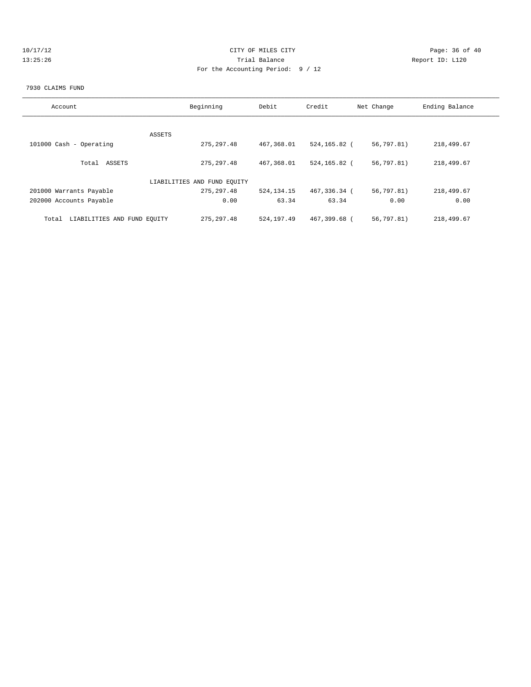| -1 |  |     |  | $\lambda$ |  |
|----|--|-----|--|-----------|--|
|    |  | . . |  | ς         |  |

# CITY OF MILES CITY **CITY** Page: 36 of 40 13:25:26 Trial Balance Report ID: L120 For the Accounting Period: 9 / 12

#### 7930 CLAIMS FUND

| Account                              | Beginning                   | Debit        | Credit       | Net Change | Ending Balance |
|--------------------------------------|-----------------------------|--------------|--------------|------------|----------------|
|                                      |                             |              |              |            |                |
|                                      | ASSETS                      |              |              |            |                |
| 101000 Cash - Operating              | 275, 297.48                 | 467,368.01   | 524,165.82 ( | 56,797.81) | 218,499.67     |
| Total ASSETS                         | 275, 297.48                 | 467,368.01   | 524,165.82 ( | 56,797.81) | 218,499.67     |
|                                      | LIABILITIES AND FUND EQUITY |              |              |            |                |
| 201000 Warrants Payable              | 275, 297.48                 | 524, 134. 15 | 467,336.34 ( | 56,797.81) | 218,499.67     |
| 202000 Accounts Payable              | 0.00                        | 63.34        | 63.34        | 0.00       | 0.00           |
| LIABILITIES AND FUND EQUITY<br>Total | 275, 297.48                 | 524,197.49   | 467,399.68 ( | 56,797.81) | 218,499.67     |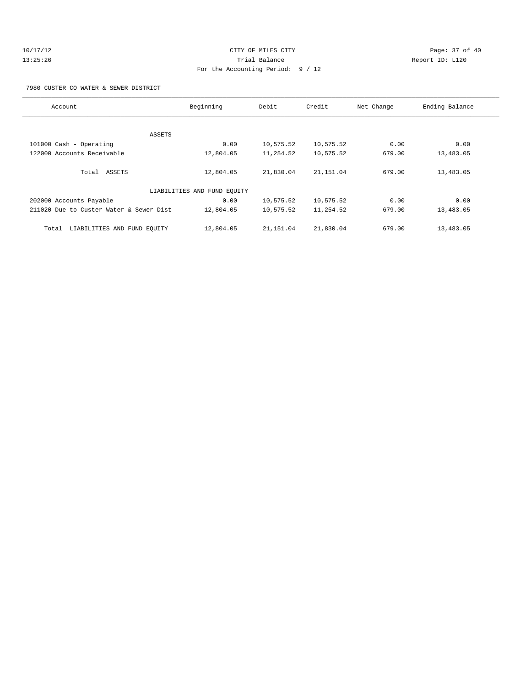|  | 10/17/12 |  |  |
|--|----------|--|--|
|  | 13:25:26 |  |  |

# CITY OF MILES CITY CONTROL CONTROL CONTROL CONTROL CONTROL PAGE: 37 of 40 13:35:26 Trial Balance Report ID: L120 For the Accounting Period: 9 / 12

7980 CUSTER CO WATER & SEWER DISTRICT

| Account                                 | Beginning                   | Debit     | Credit     | Net Change | Ending Balance |
|-----------------------------------------|-----------------------------|-----------|------------|------------|----------------|
|                                         |                             |           |            |            |                |
|                                         | ASSETS                      |           |            |            |                |
| 101000 Cash - Operating                 | 0.00                        | 10,575.52 | 10,575.52  | 0.00       | 0.00           |
| 122000 Accounts Receivable              | 12,804.05                   | 11,254.52 | 10,575.52  | 679.00     | 13,483.05      |
| Total ASSETS                            | 12,804.05                   | 21,830.04 | 21, 151.04 | 679.00     | 13,483.05      |
|                                         | LIABILITIES AND FUND EQUITY |           |            |            |                |
| 202000 Accounts Payable                 | 0.00                        | 10,575.52 | 10,575.52  | 0.00       | 0.00           |
| 211020 Due to Custer Water & Sewer Dist | 12,804.05                   | 10,575.52 | 11,254.52  | 679.00     | 13,483.05      |
| LIABILITIES AND FUND EQUITY<br>Total    | 12,804.05                   | 21,151.04 | 21,830.04  | 679.00     | 13,483.05      |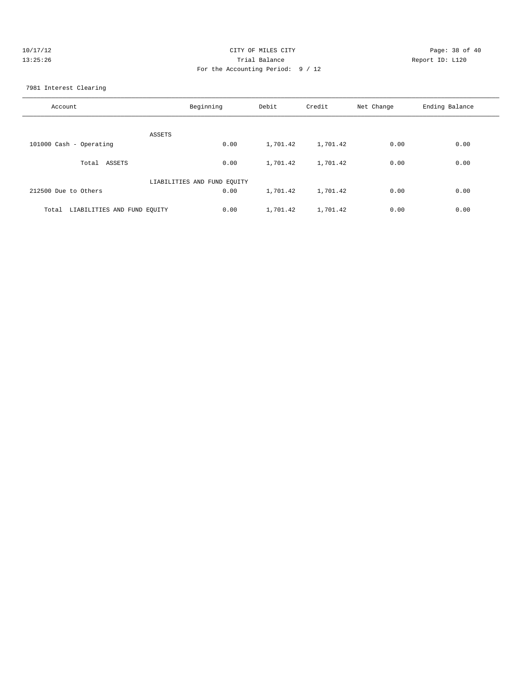| 10/17/12 | CITY OF MILES CITY                | Page: 38 of 40  |
|----------|-----------------------------------|-----------------|
| 13:25:26 | Trial Balance                     | Report ID: L120 |
|          | For the Accounting Period: 9 / 12 |                 |
|          |                                   |                 |

7981 Interest Clearing

| Account                              | Beginning                   | Debit    | Credit   | Net Change | Ending Balance |
|--------------------------------------|-----------------------------|----------|----------|------------|----------------|
| ASSETS                               |                             |          |          |            |                |
| 101000 Cash - Operating              | 0.00                        | 1,701.42 | 1,701.42 | 0.00       | 0.00           |
| ASSETS<br>Total                      | 0.00                        | 1,701.42 | 1,701.42 | 0.00       | 0.00           |
|                                      | LIABILITIES AND FUND EQUITY |          |          |            |                |
| 212500 Due to Others                 | 0.00                        | 1,701.42 | 1,701.42 | 0.00       | 0.00           |
| LIABILITIES AND FUND EQUITY<br>Total | 0.00                        | 1,701.42 | 1,701.42 | 0.00       | 0.00           |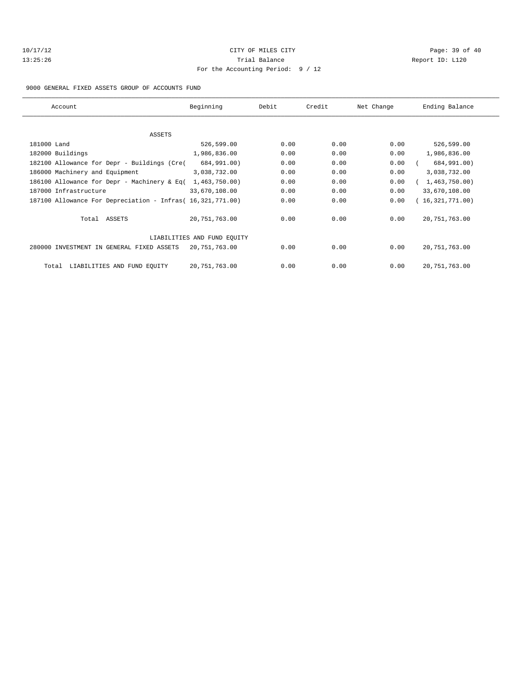| 10/17/12 |  |  |  |  |
|----------|--|--|--|--|
| 13:25:26 |  |  |  |  |

# CITY OF MILES CITY CONTROL CONTROL CONTROL CONTROL CITY 13:35:26 Trial Balance Report ID: L120 For the Accounting Period: 9 / 12

9000 GENERAL FIXED ASSETS GROUP OF ACCOUNTS FUND

| Account                                                    | Beginning                   | Debit | Credit | Net Change | Ending Balance  |
|------------------------------------------------------------|-----------------------------|-------|--------|------------|-----------------|
|                                                            |                             |       |        |            |                 |
| ASSETS                                                     |                             |       |        |            |                 |
| 181000 Land                                                | 526,599.00                  | 0.00  | 0.00   | 0.00       | 526,599.00      |
| 182000 Buildings                                           | 1,986,836.00                | 0.00  | 0.00   | 0.00       | 1,986,836.00    |
| 182100 Allowance for Depr - Buildings (Cre(                | 684,991.00)                 | 0.00  | 0.00   | 0.00       | 684,991.00)     |
| 186000 Machinery and Equipment                             | 3,038,732.00                | 0.00  | 0.00   | 0.00       | 3,038,732.00    |
| 186100 Allowance for Depr - Machinery & Eq(                | 1,463,750.00                | 0.00  | 0.00   | 0.00       | 1,463,750.00    |
| 187000 Infrastructure                                      | 33,670,108.00               | 0.00  | 0.00   | 0.00       | 33,670,108.00   |
| 187100 Allowance For Depreciation - Infras( 16,321,771.00) |                             | 0.00  | 0.00   | 0.00       | 16,321,771.00)  |
| Total ASSETS                                               | 20,751,763.00               | 0.00  | 0.00   | 0.00       | 20, 751, 763.00 |
|                                                            | LIABILITIES AND FUND EQUITY |       |        |            |                 |
| 280000 INVESTMENT IN GENERAL FIXED ASSETS                  | 20,751,763.00               | 0.00  | 0.00   | 0.00       | 20, 751, 763.00 |
| LIABILITIES AND FUND EQUITY<br>Total                       | 20,751,763.00               | 0.00  | 0.00   | 0.00       | 20, 751, 763.00 |